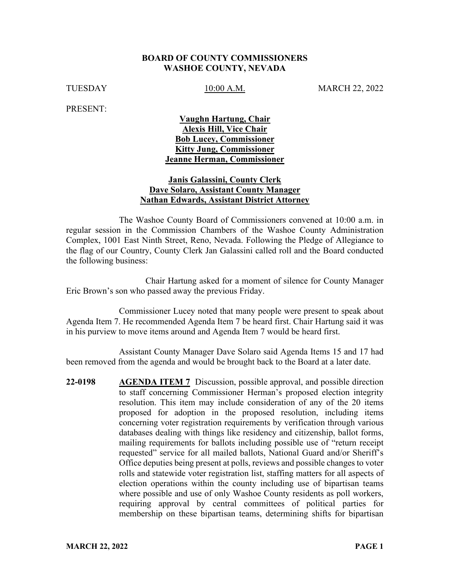#### **BOARD OF COUNTY COMMISSIONERS WASHOE COUNTY, NEVADA**

TUESDAY 10:00 A.M. MARCH 22, 2022

PRESENT:

### **Vaughn Hartung, Chair Alexis Hill, Vice Chair Bob Lucey, Commissioner Kitty Jung, Commissioner Jeanne Herman, Commissioner**

### **Janis Galassini, County Clerk Dave Solaro, Assistant County Manager Nathan Edwards, Assistant District Attorney**

The Washoe County Board of Commissioners convened at 10:00 a.m. in regular session in the Commission Chambers of the Washoe County Administration Complex, 1001 East Ninth Street, Reno, Nevada. Following the Pledge of Allegiance to the flag of our Country, County Clerk Jan Galassini called roll and the Board conducted the following business:

Chair Hartung asked for a moment of silence for County Manager Eric Brown's son who passed away the previous Friday.

Commissioner Lucey noted that many people were present to speak about Agenda Item 7. He recommended Agenda Item 7 be heard first. Chair Hartung said it was in his purview to move items around and Agenda Item 7 would be heard first.

Assistant County Manager Dave Solaro said Agenda Items 15 and 17 had been removed from the agenda and would be brought back to the Board at a later date.

**22-0198 AGENDA ITEM 7** Discussion, possible approval, and possible direction to staff concerning Commissioner Herman's proposed election integrity resolution. This item may include consideration of any of the 20 items proposed for adoption in the proposed resolution, including items concerning voter registration requirements by verification through various databases dealing with things like residency and citizenship, ballot forms, mailing requirements for ballots including possible use of "return receipt requested" service for all mailed ballots, National Guard and/or Sheriff's Office deputies being present at polls, reviews and possible changes to voter rolls and statewide voter registration list, staffing matters for all aspects of election operations within the county including use of bipartisan teams where possible and use of only Washoe County residents as poll workers, requiring approval by central committees of political parties for membership on these bipartisan teams, determining shifts for bipartisan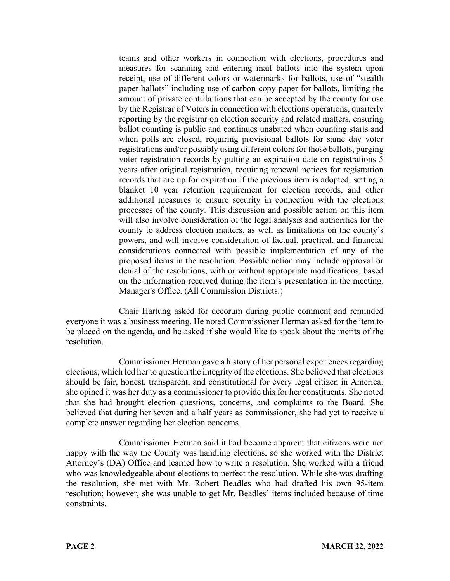teams and other workers in connection with elections, procedures and measures for scanning and entering mail ballots into the system upon receipt, use of different colors or watermarks for ballots, use of "stealth paper ballots" including use of carbon-copy paper for ballots, limiting the amount of private contributions that can be accepted by the county for use by the Registrar of Voters in connection with elections operations, quarterly reporting by the registrar on election security and related matters, ensuring ballot counting is public and continues unabated when counting starts and when polls are closed, requiring provisional ballots for same day voter registrations and/or possibly using different colors for those ballots, purging voter registration records by putting an expiration date on registrations 5 years after original registration, requiring renewal notices for registration records that are up for expiration if the previous item is adopted, setting a blanket 10 year retention requirement for election records, and other additional measures to ensure security in connection with the elections processes of the county. This discussion and possible action on this item will also involve consideration of the legal analysis and authorities for the county to address election matters, as well as limitations on the county's powers, and will involve consideration of factual, practical, and financial considerations connected with possible implementation of any of the proposed items in the resolution. Possible action may include approval or denial of the resolutions, with or without appropriate modifications, based on the information received during the item's presentation in the meeting. Manager's Office. (All Commission Districts.)

Chair Hartung asked for decorum during public comment and reminded everyone it was a business meeting. He noted Commissioner Herman asked for the item to be placed on the agenda, and he asked if she would like to speak about the merits of the resolution.

Commissioner Herman gave a history of her personal experiences regarding elections, which led her to question the integrity of the elections. She believed that elections should be fair, honest, transparent, and constitutional for every legal citizen in America; she opined it was her duty as a commissioner to provide this for her constituents. She noted that she had brought election questions, concerns, and complaints to the Board. She believed that during her seven and a half years as commissioner, she had yet to receive a complete answer regarding her election concerns.

Commissioner Herman said it had become apparent that citizens were not happy with the way the County was handling elections, so she worked with the District Attorney's (DA) Office and learned how to write a resolution. She worked with a friend who was knowledgeable about elections to perfect the resolution. While she was drafting the resolution, she met with Mr. Robert Beadles who had drafted his own 95-item resolution; however, she was unable to get Mr. Beadles' items included because of time constraints.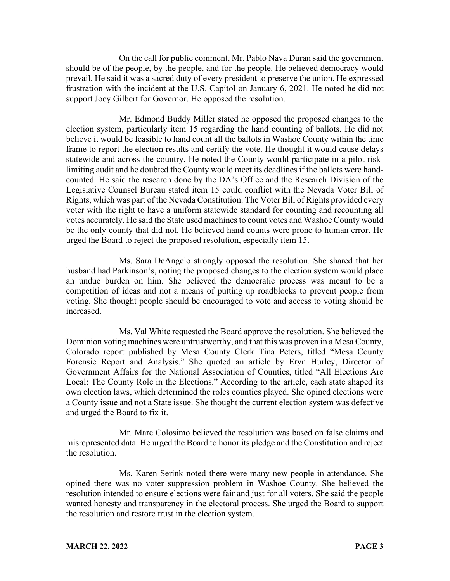On the call for public comment, Mr. Pablo Nava Duran said the government should be of the people, by the people, and for the people. He believed democracy would prevail. He said it was a sacred duty of every president to preserve the union. He expressed frustration with the incident at the U.S. Capitol on January 6, 2021. He noted he did not support Joey Gilbert for Governor. He opposed the resolution.

Mr. Edmond Buddy Miller stated he opposed the proposed changes to the election system, particularly item 15 regarding the hand counting of ballots. He did not believe it would be feasible to hand count all the ballots in Washoe County within the time frame to report the election results and certify the vote. He thought it would cause delays statewide and across the country. He noted the County would participate in a pilot risklimiting audit and he doubted the County would meet its deadlines if the ballots were handcounted. He said the research done by the DA's Office and the Research Division of the Legislative Counsel Bureau stated item 15 could conflict with the Nevada Voter Bill of Rights, which was part of the Nevada Constitution. The Voter Bill of Rights provided every voter with the right to have a uniform statewide standard for counting and recounting all votes accurately. He said the State used machines to count votes and Washoe County would be the only county that did not. He believed hand counts were prone to human error. He urged the Board to reject the proposed resolution, especially item 15.

Ms. Sara DeAngelo strongly opposed the resolution. She shared that her husband had Parkinson's, noting the proposed changes to the election system would place an undue burden on him. She believed the democratic process was meant to be a competition of ideas and not a means of putting up roadblocks to prevent people from voting. She thought people should be encouraged to vote and access to voting should be increased.

Ms. Val White requested the Board approve the resolution. She believed the Dominion voting machines were untrustworthy, and that this was proven in a Mesa County, Colorado report published by Mesa County Clerk Tina Peters, titled "Mesa County Forensic Report and Analysis." She quoted an article by Eryn Hurley, Director of Government Affairs for the National Association of Counties, titled "All Elections Are Local: The County Role in the Elections." According to the article, each state shaped its own election laws, which determined the roles counties played. She opined elections were a County issue and not a State issue. She thought the current election system was defective and urged the Board to fix it.

Mr. Marc Colosimo believed the resolution was based on false claims and misrepresented data. He urged the Board to honor its pledge and the Constitution and reject the resolution.

Ms. Karen Serink noted there were many new people in attendance. She opined there was no voter suppression problem in Washoe County. She believed the resolution intended to ensure elections were fair and just for all voters. She said the people wanted honesty and transparency in the electoral process. She urged the Board to support the resolution and restore trust in the election system.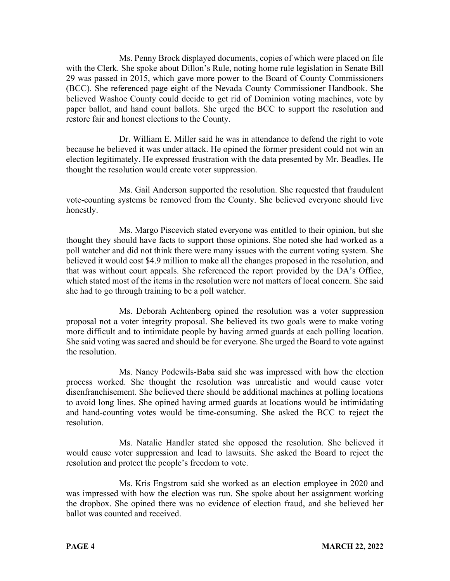Ms. Penny Brock displayed documents, copies of which were placed on file with the Clerk. She spoke about Dillon's Rule, noting home rule legislation in Senate Bill 29 was passed in 2015, which gave more power to the Board of County Commissioners (BCC). She referenced page eight of the Nevada County Commissioner Handbook. She believed Washoe County could decide to get rid of Dominion voting machines, vote by paper ballot, and hand count ballots. She urged the BCC to support the resolution and restore fair and honest elections to the County.

Dr. William E. Miller said he was in attendance to defend the right to vote because he believed it was under attack. He opined the former president could not win an election legitimately. He expressed frustration with the data presented by Mr. Beadles. He thought the resolution would create voter suppression.

Ms. Gail Anderson supported the resolution. She requested that fraudulent vote-counting systems be removed from the County. She believed everyone should live honestly.

Ms. Margo Piscevich stated everyone was entitled to their opinion, but she thought they should have facts to support those opinions. She noted she had worked as a poll watcher and did not think there were many issues with the current voting system. She believed it would cost \$4.9 million to make all the changes proposed in the resolution, and that was without court appeals. She referenced the report provided by the DA's Office, which stated most of the items in the resolution were not matters of local concern. She said she had to go through training to be a poll watcher.

Ms. Deborah Achtenberg opined the resolution was a voter suppression proposal not a voter integrity proposal. She believed its two goals were to make voting more difficult and to intimidate people by having armed guards at each polling location. She said voting was sacred and should be for everyone. She urged the Board to vote against the resolution.

Ms. Nancy Podewils-Baba said she was impressed with how the election process worked. She thought the resolution was unrealistic and would cause voter disenfranchisement. She believed there should be additional machines at polling locations to avoid long lines. She opined having armed guards at locations would be intimidating and hand-counting votes would be time-consuming. She asked the BCC to reject the resolution.

Ms. Natalie Handler stated she opposed the resolution. She believed it would cause voter suppression and lead to lawsuits. She asked the Board to reject the resolution and protect the people's freedom to vote.

Ms. Kris Engstrom said she worked as an election employee in 2020 and was impressed with how the election was run. She spoke about her assignment working the dropbox. She opined there was no evidence of election fraud, and she believed her ballot was counted and received.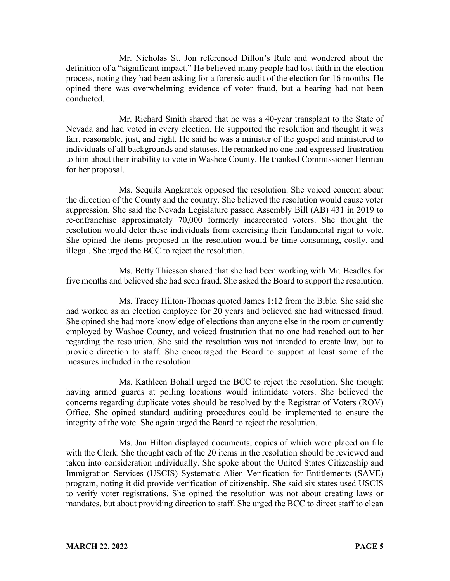Mr. Nicholas St. Jon referenced Dillon's Rule and wondered about the definition of a "significant impact." He believed many people had lost faith in the election process, noting they had been asking for a forensic audit of the election for 16 months. He opined there was overwhelming evidence of voter fraud, but a hearing had not been conducted.

Mr. Richard Smith shared that he was a 40-year transplant to the State of Nevada and had voted in every election. He supported the resolution and thought it was fair, reasonable, just, and right. He said he was a minister of the gospel and ministered to individuals of all backgrounds and statuses. He remarked no one had expressed frustration to him about their inability to vote in Washoe County. He thanked Commissioner Herman for her proposal.

Ms. Sequila Angkratok opposed the resolution. She voiced concern about the direction of the County and the country. She believed the resolution would cause voter suppression. She said the Nevada Legislature passed Assembly Bill (AB) 431 in 2019 to re-enfranchise approximately 70,000 formerly incarcerated voters. She thought the resolution would deter these individuals from exercising their fundamental right to vote. She opined the items proposed in the resolution would be time-consuming, costly, and illegal. She urged the BCC to reject the resolution.

Ms. Betty Thiessen shared that she had been working with Mr. Beadles for five months and believed she had seen fraud. She asked the Board to support the resolution.

Ms. Tracey Hilton-Thomas quoted James 1:12 from the Bible. She said she had worked as an election employee for 20 years and believed she had witnessed fraud. She opined she had more knowledge of elections than anyone else in the room or currently employed by Washoe County, and voiced frustration that no one had reached out to her regarding the resolution. She said the resolution was not intended to create law, but to provide direction to staff. She encouraged the Board to support at least some of the measures included in the resolution.

Ms. Kathleen Bohall urged the BCC to reject the resolution. She thought having armed guards at polling locations would intimidate voters. She believed the concerns regarding duplicate votes should be resolved by the Registrar of Voters (ROV) Office. She opined standard auditing procedures could be implemented to ensure the integrity of the vote. She again urged the Board to reject the resolution.

Ms. Jan Hilton displayed documents, copies of which were placed on file with the Clerk. She thought each of the 20 items in the resolution should be reviewed and taken into consideration individually. She spoke about the United States Citizenship and Immigration Services (USCIS) Systematic Alien Verification for Entitlements (SAVE) program, noting it did provide verification of citizenship. She said six states used USCIS to verify voter registrations. She opined the resolution was not about creating laws or mandates, but about providing direction to staff. She urged the BCC to direct staff to clean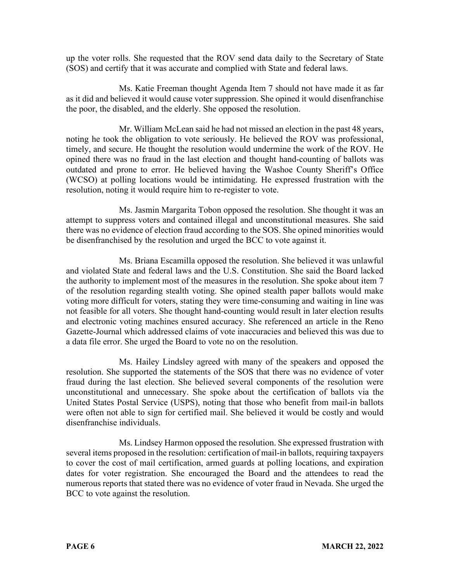up the voter rolls. She requested that the ROV send data daily to the Secretary of State (SOS) and certify that it was accurate and complied with State and federal laws.

Ms. Katie Freeman thought Agenda Item 7 should not have made it as far as it did and believed it would cause voter suppression. She opined it would disenfranchise the poor, the disabled, and the elderly. She opposed the resolution.

Mr. William McLean said he had not missed an election in the past 48 years, noting he took the obligation to vote seriously. He believed the ROV was professional, timely, and secure. He thought the resolution would undermine the work of the ROV. He opined there was no fraud in the last election and thought hand-counting of ballots was outdated and prone to error. He believed having the Washoe County Sheriff's Office (WCSO) at polling locations would be intimidating. He expressed frustration with the resolution, noting it would require him to re-register to vote.

Ms. Jasmin Margarita Tobon opposed the resolution. She thought it was an attempt to suppress voters and contained illegal and unconstitutional measures. She said there was no evidence of election fraud according to the SOS. She opined minorities would be disenfranchised by the resolution and urged the BCC to vote against it.

Ms. Briana Escamilla opposed the resolution. She believed it was unlawful and violated State and federal laws and the U.S. Constitution. She said the Board lacked the authority to implement most of the measures in the resolution. She spoke about item 7 of the resolution regarding stealth voting. She opined stealth paper ballots would make voting more difficult for voters, stating they were time-consuming and waiting in line was not feasible for all voters. She thought hand-counting would result in later election results and electronic voting machines ensured accuracy. She referenced an article in the Reno Gazette-Journal which addressed claims of vote inaccuracies and believed this was due to a data file error. She urged the Board to vote no on the resolution.

Ms. Hailey Lindsley agreed with many of the speakers and opposed the resolution. She supported the statements of the SOS that there was no evidence of voter fraud during the last election. She believed several components of the resolution were unconstitutional and unnecessary. She spoke about the certification of ballots via the United States Postal Service (USPS), noting that those who benefit from mail-in ballots were often not able to sign for certified mail. She believed it would be costly and would disenfranchise individuals.

Ms. Lindsey Harmon opposed the resolution. She expressed frustration with several items proposed in the resolution: certification of mail-in ballots, requiring taxpayers to cover the cost of mail certification, armed guards at polling locations, and expiration dates for voter registration. She encouraged the Board and the attendees to read the numerous reports that stated there was no evidence of voter fraud in Nevada. She urged the BCC to vote against the resolution.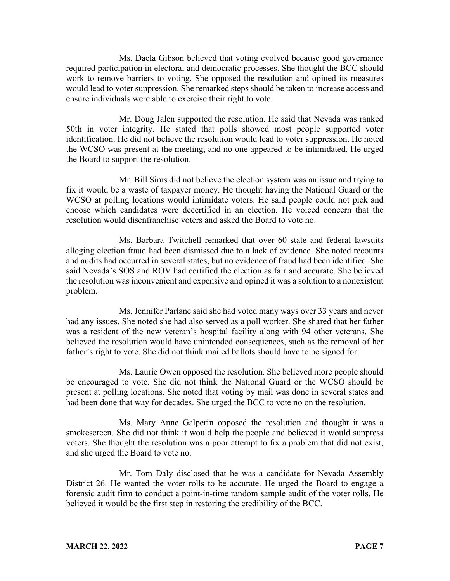Ms. Daela Gibson believed that voting evolved because good governance required participation in electoral and democratic processes. She thought the BCC should work to remove barriers to voting. She opposed the resolution and opined its measures would lead to voter suppression. She remarked steps should be taken to increase access and ensure individuals were able to exercise their right to vote.

Mr. Doug Jalen supported the resolution. He said that Nevada was ranked 50th in voter integrity. He stated that polls showed most people supported voter identification. He did not believe the resolution would lead to voter suppression. He noted the WCSO was present at the meeting, and no one appeared to be intimidated. He urged the Board to support the resolution.

Mr. Bill Sims did not believe the election system was an issue and trying to fix it would be a waste of taxpayer money. He thought having the National Guard or the WCSO at polling locations would intimidate voters. He said people could not pick and choose which candidates were decertified in an election. He voiced concern that the resolution would disenfranchise voters and asked the Board to vote no.

Ms. Barbara Twitchell remarked that over 60 state and federal lawsuits alleging election fraud had been dismissed due to a lack of evidence. She noted recounts and audits had occurred in several states, but no evidence of fraud had been identified. She said Nevada's SOS and ROV had certified the election as fair and accurate. She believed the resolution was inconvenient and expensive and opined it was a solution to a nonexistent problem.

Ms. Jennifer Parlane said she had voted many ways over 33 years and never had any issues. She noted she had also served as a poll worker. She shared that her father was a resident of the new veteran's hospital facility along with 94 other veterans. She believed the resolution would have unintended consequences, such as the removal of her father's right to vote. She did not think mailed ballots should have to be signed for.

Ms. Laurie Owen opposed the resolution. She believed more people should be encouraged to vote. She did not think the National Guard or the WCSO should be present at polling locations. She noted that voting by mail was done in several states and had been done that way for decades. She urged the BCC to vote no on the resolution.

Ms. Mary Anne Galperin opposed the resolution and thought it was a smokescreen. She did not think it would help the people and believed it would suppress voters. She thought the resolution was a poor attempt to fix a problem that did not exist, and she urged the Board to vote no.

Mr. Tom Daly disclosed that he was a candidate for Nevada Assembly District 26. He wanted the voter rolls to be accurate. He urged the Board to engage a forensic audit firm to conduct a point-in-time random sample audit of the voter rolls. He believed it would be the first step in restoring the credibility of the BCC.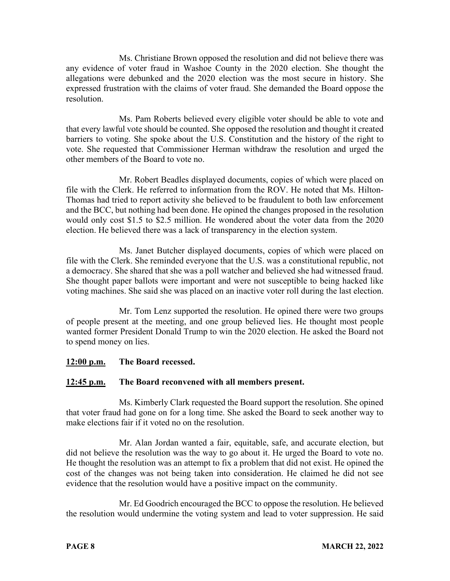Ms. Christiane Brown opposed the resolution and did not believe there was any evidence of voter fraud in Washoe County in the 2020 election. She thought the allegations were debunked and the 2020 election was the most secure in history. She expressed frustration with the claims of voter fraud. She demanded the Board oppose the resolution.

Ms. Pam Roberts believed every eligible voter should be able to vote and that every lawful vote should be counted. She opposed the resolution and thought it created barriers to voting. She spoke about the U.S. Constitution and the history of the right to vote. She requested that Commissioner Herman withdraw the resolution and urged the other members of the Board to vote no.

Mr. Robert Beadles displayed documents, copies of which were placed on file with the Clerk. He referred to information from the ROV. He noted that Ms. Hilton-Thomas had tried to report activity she believed to be fraudulent to both law enforcement and the BCC, but nothing had been done. He opined the changes proposed in the resolution would only cost \$1.5 to \$2.5 million. He wondered about the voter data from the 2020 election. He believed there was a lack of transparency in the election system.

Ms. Janet Butcher displayed documents, copies of which were placed on file with the Clerk. She reminded everyone that the U.S. was a constitutional republic, not a democracy. She shared that she was a poll watcher and believed she had witnessed fraud. She thought paper ballots were important and were not susceptible to being hacked like voting machines. She said she was placed on an inactive voter roll during the last election.

Mr. Tom Lenz supported the resolution. He opined there were two groups of people present at the meeting, and one group believed lies. He thought most people wanted former President Donald Trump to win the 2020 election. He asked the Board not to spend money on lies.

## **12:00 p.m. The Board recessed.**

## **12:45 p.m. The Board reconvened with all members present.**

Ms. Kimberly Clark requested the Board support the resolution. She opined that voter fraud had gone on for a long time. She asked the Board to seek another way to make elections fair if it voted no on the resolution.

Mr. Alan Jordan wanted a fair, equitable, safe, and accurate election, but did not believe the resolution was the way to go about it. He urged the Board to vote no. He thought the resolution was an attempt to fix a problem that did not exist. He opined the cost of the changes was not being taken into consideration. He claimed he did not see evidence that the resolution would have a positive impact on the community.

Mr. Ed Goodrich encouraged the BCC to oppose the resolution. He believed the resolution would undermine the voting system and lead to voter suppression. He said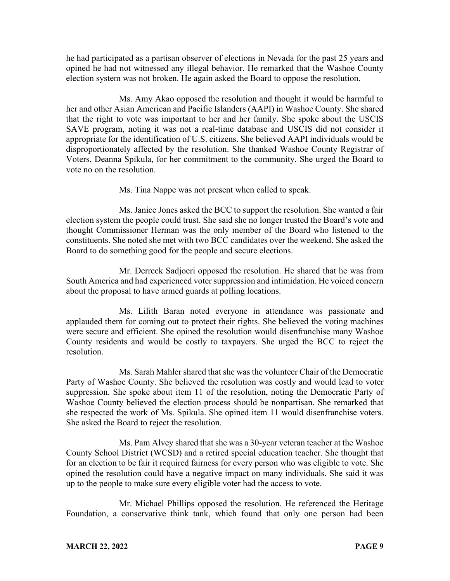he had participated as a partisan observer of elections in Nevada for the past 25 years and opined he had not witnessed any illegal behavior. He remarked that the Washoe County election system was not broken. He again asked the Board to oppose the resolution.

Ms. Amy Akao opposed the resolution and thought it would be harmful to her and other Asian American and Pacific Islanders (AAPI) in Washoe County. She shared that the right to vote was important to her and her family. She spoke about the USCIS SAVE program, noting it was not a real-time database and USCIS did not consider it appropriate for the identification of U.S. citizens. She believed AAPI individuals would be disproportionately affected by the resolution. She thanked Washoe County Registrar of Voters, Deanna Spikula, for her commitment to the community. She urged the Board to vote no on the resolution.

Ms. Tina Nappe was not present when called to speak.

Ms. Janice Jones asked the BCC to support the resolution. She wanted a fair election system the people could trust. She said she no longer trusted the Board's vote and thought Commissioner Herman was the only member of the Board who listened to the constituents. She noted she met with two BCC candidates over the weekend. She asked the Board to do something good for the people and secure elections.

Mr. Derreck Sadjoeri opposed the resolution. He shared that he was from South America and had experienced voter suppression and intimidation. He voiced concern about the proposal to have armed guards at polling locations.

Ms. Lilith Baran noted everyone in attendance was passionate and applauded them for coming out to protect their rights. She believed the voting machines were secure and efficient. She opined the resolution would disenfranchise many Washoe County residents and would be costly to taxpayers. She urged the BCC to reject the resolution.

Ms. Sarah Mahler shared that she was the volunteer Chair of the Democratic Party of Washoe County. She believed the resolution was costly and would lead to voter suppression. She spoke about item 11 of the resolution, noting the Democratic Party of Washoe County believed the election process should be nonpartisan. She remarked that she respected the work of Ms. Spikula. She opined item 11 would disenfranchise voters. She asked the Board to reject the resolution.

Ms. Pam Alvey shared that she was a 30-year veteran teacher at the Washoe County School District (WCSD) and a retired special education teacher. She thought that for an election to be fair it required fairness for every person who was eligible to vote. She opined the resolution could have a negative impact on many individuals. She said it was up to the people to make sure every eligible voter had the access to vote.

Mr. Michael Phillips opposed the resolution. He referenced the Heritage Foundation, a conservative think tank, which found that only one person had been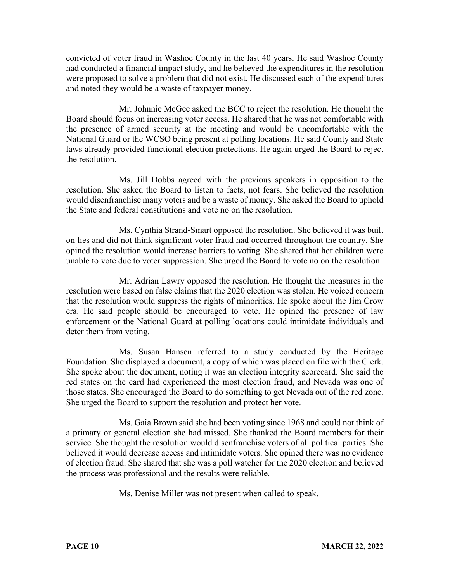convicted of voter fraud in Washoe County in the last 40 years. He said Washoe County had conducted a financial impact study, and he believed the expenditures in the resolution were proposed to solve a problem that did not exist. He discussed each of the expenditures and noted they would be a waste of taxpayer money.

Mr. Johnnie McGee asked the BCC to reject the resolution. He thought the Board should focus on increasing voter access. He shared that he was not comfortable with the presence of armed security at the meeting and would be uncomfortable with the National Guard or the WCSO being present at polling locations. He said County and State laws already provided functional election protections. He again urged the Board to reject the resolution.

Ms. Jill Dobbs agreed with the previous speakers in opposition to the resolution. She asked the Board to listen to facts, not fears. She believed the resolution would disenfranchise many voters and be a waste of money. She asked the Board to uphold the State and federal constitutions and vote no on the resolution.

Ms. Cynthia Strand-Smart opposed the resolution. She believed it was built on lies and did not think significant voter fraud had occurred throughout the country. She opined the resolution would increase barriers to voting. She shared that her children were unable to vote due to voter suppression. She urged the Board to vote no on the resolution.

Mr. Adrian Lawry opposed the resolution. He thought the measures in the resolution were based on false claims that the 2020 election was stolen. He voiced concern that the resolution would suppress the rights of minorities. He spoke about the Jim Crow era. He said people should be encouraged to vote. He opined the presence of law enforcement or the National Guard at polling locations could intimidate individuals and deter them from voting.

Ms. Susan Hansen referred to a study conducted by the Heritage Foundation. She displayed a document, a copy of which was placed on file with the Clerk. She spoke about the document, noting it was an election integrity scorecard. She said the red states on the card had experienced the most election fraud, and Nevada was one of those states. She encouraged the Board to do something to get Nevada out of the red zone. She urged the Board to support the resolution and protect her vote.

Ms. Gaia Brown said she had been voting since 1968 and could not think of a primary or general election she had missed. She thanked the Board members for their service. She thought the resolution would disenfranchise voters of all political parties. She believed it would decrease access and intimidate voters. She opined there was no evidence of election fraud. She shared that she was a poll watcher for the 2020 election and believed the process was professional and the results were reliable.

Ms. Denise Miller was not present when called to speak.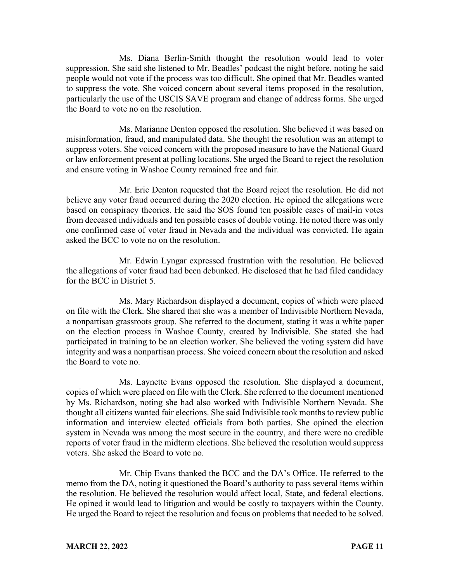Ms. Diana Berlin-Smith thought the resolution would lead to voter suppression. She said she listened to Mr. Beadles' podcast the night before, noting he said people would not vote if the process was too difficult. She opined that Mr. Beadles wanted to suppress the vote. She voiced concern about several items proposed in the resolution, particularly the use of the USCIS SAVE program and change of address forms. She urged the Board to vote no on the resolution.

Ms. Marianne Denton opposed the resolution. She believed it was based on misinformation, fraud, and manipulated data. She thought the resolution was an attempt to suppress voters. She voiced concern with the proposed measure to have the National Guard or law enforcement present at polling locations. She urged the Board to reject the resolution and ensure voting in Washoe County remained free and fair.

Mr. Eric Denton requested that the Board reject the resolution. He did not believe any voter fraud occurred during the 2020 election. He opined the allegations were based on conspiracy theories. He said the SOS found ten possible cases of mail-in votes from deceased individuals and ten possible cases of double voting. He noted there was only one confirmed case of voter fraud in Nevada and the individual was convicted. He again asked the BCC to vote no on the resolution.

Mr. Edwin Lyngar expressed frustration with the resolution. He believed the allegations of voter fraud had been debunked. He disclosed that he had filed candidacy for the BCC in District 5.

Ms. Mary Richardson displayed a document, copies of which were placed on file with the Clerk. She shared that she was a member of Indivisible Northern Nevada, a nonpartisan grassroots group. She referred to the document, stating it was a white paper on the election process in Washoe County, created by Indivisible. She stated she had participated in training to be an election worker. She believed the voting system did have integrity and was a nonpartisan process. She voiced concern about the resolution and asked the Board to vote no.

Ms. Laynette Evans opposed the resolution. She displayed a document, copies of which were placed on file with the Clerk. She referred to the document mentioned by Ms. Richardson, noting she had also worked with Indivisible Northern Nevada. She thought all citizens wanted fair elections. She said Indivisible took months to review public information and interview elected officials from both parties. She opined the election system in Nevada was among the most secure in the country, and there were no credible reports of voter fraud in the midterm elections. She believed the resolution would suppress voters. She asked the Board to vote no.

Mr. Chip Evans thanked the BCC and the DA's Office. He referred to the memo from the DA, noting it questioned the Board's authority to pass several items within the resolution. He believed the resolution would affect local, State, and federal elections. He opined it would lead to litigation and would be costly to taxpayers within the County. He urged the Board to reject the resolution and focus on problems that needed to be solved.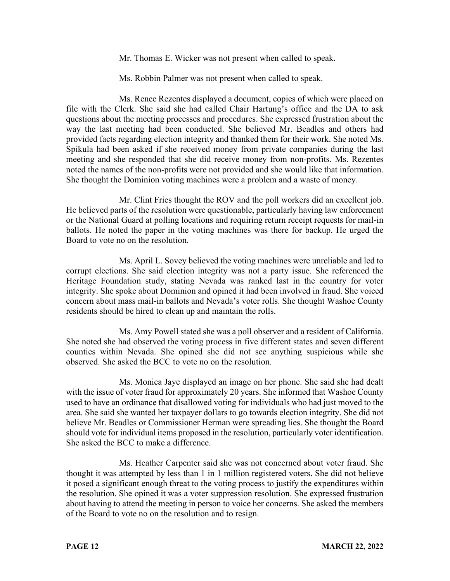Mr. Thomas E. Wicker was not present when called to speak.

Ms. Robbin Palmer was not present when called to speak.

Ms. Renee Rezentes displayed a document, copies of which were placed on file with the Clerk. She said she had called Chair Hartung's office and the DA to ask questions about the meeting processes and procedures. She expressed frustration about the way the last meeting had been conducted. She believed Mr. Beadles and others had provided facts regarding election integrity and thanked them for their work. She noted Ms. Spikula had been asked if she received money from private companies during the last meeting and she responded that she did receive money from non-profits. Ms. Rezentes noted the names of the non-profits were not provided and she would like that information. She thought the Dominion voting machines were a problem and a waste of money.

Mr. Clint Fries thought the ROV and the poll workers did an excellent job. He believed parts of the resolution were questionable, particularly having law enforcement or the National Guard at polling locations and requiring return receipt requests for mail-in ballots. He noted the paper in the voting machines was there for backup. He urged the Board to vote no on the resolution.

Ms. April L. Sovey believed the voting machines were unreliable and led to corrupt elections. She said election integrity was not a party issue. She referenced the Heritage Foundation study, stating Nevada was ranked last in the country for voter integrity. She spoke about Dominion and opined it had been involved in fraud. She voiced concern about mass mail-in ballots and Nevada's voter rolls. She thought Washoe County residents should be hired to clean up and maintain the rolls.

Ms. Amy Powell stated she was a poll observer and a resident of California. She noted she had observed the voting process in five different states and seven different counties within Nevada. She opined she did not see anything suspicious while she observed. She asked the BCC to vote no on the resolution.

Ms. Monica Jaye displayed an image on her phone. She said she had dealt with the issue of voter fraud for approximately 20 years. She informed that Washoe County used to have an ordinance that disallowed voting for individuals who had just moved to the area. She said she wanted her taxpayer dollars to go towards election integrity. She did not believe Mr. Beadles or Commissioner Herman were spreading lies. She thought the Board should vote for individual items proposed in the resolution, particularly voter identification. She asked the BCC to make a difference.

Ms. Heather Carpenter said she was not concerned about voter fraud. She thought it was attempted by less than 1 in 1 million registered voters. She did not believe it posed a significant enough threat to the voting process to justify the expenditures within the resolution. She opined it was a voter suppression resolution. She expressed frustration about having to attend the meeting in person to voice her concerns. She asked the members of the Board to vote no on the resolution and to resign.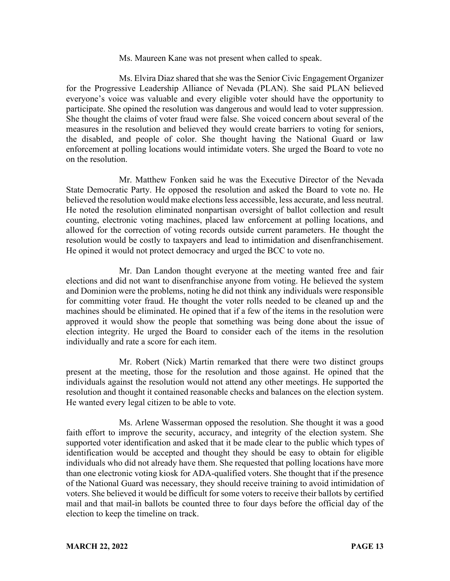#### Ms. Maureen Kane was not present when called to speak.

Ms. Elvira Diaz shared that she was the Senior Civic Engagement Organizer for the Progressive Leadership Alliance of Nevada (PLAN). She said PLAN believed everyone's voice was valuable and every eligible voter should have the opportunity to participate. She opined the resolution was dangerous and would lead to voter suppression. She thought the claims of voter fraud were false. She voiced concern about several of the measures in the resolution and believed they would create barriers to voting for seniors, the disabled, and people of color. She thought having the National Guard or law enforcement at polling locations would intimidate voters. She urged the Board to vote no on the resolution.

Mr. Matthew Fonken said he was the Executive Director of the Nevada State Democratic Party. He opposed the resolution and asked the Board to vote no. He believed the resolution would make elections less accessible, less accurate, and less neutral. He noted the resolution eliminated nonpartisan oversight of ballot collection and result counting, electronic voting machines, placed law enforcement at polling locations, and allowed for the correction of voting records outside current parameters. He thought the resolution would be costly to taxpayers and lead to intimidation and disenfranchisement. He opined it would not protect democracy and urged the BCC to vote no.

Mr. Dan Landon thought everyone at the meeting wanted free and fair elections and did not want to disenfranchise anyone from voting. He believed the system and Dominion were the problems, noting he did not think any individuals were responsible for committing voter fraud. He thought the voter rolls needed to be cleaned up and the machines should be eliminated. He opined that if a few of the items in the resolution were approved it would show the people that something was being done about the issue of election integrity. He urged the Board to consider each of the items in the resolution individually and rate a score for each item.

Mr. Robert (Nick) Martin remarked that there were two distinct groups present at the meeting, those for the resolution and those against. He opined that the individuals against the resolution would not attend any other meetings. He supported the resolution and thought it contained reasonable checks and balances on the election system. He wanted every legal citizen to be able to vote.

Ms. Arlene Wasserman opposed the resolution. She thought it was a good faith effort to improve the security, accuracy, and integrity of the election system. She supported voter identification and asked that it be made clear to the public which types of identification would be accepted and thought they should be easy to obtain for eligible individuals who did not already have them. She requested that polling locations have more than one electronic voting kiosk for ADA-qualified voters. She thought that if the presence of the National Guard was necessary, they should receive training to avoid intimidation of voters. She believed it would be difficult for some voters to receive their ballots by certified mail and that mail-in ballots be counted three to four days before the official day of the election to keep the timeline on track.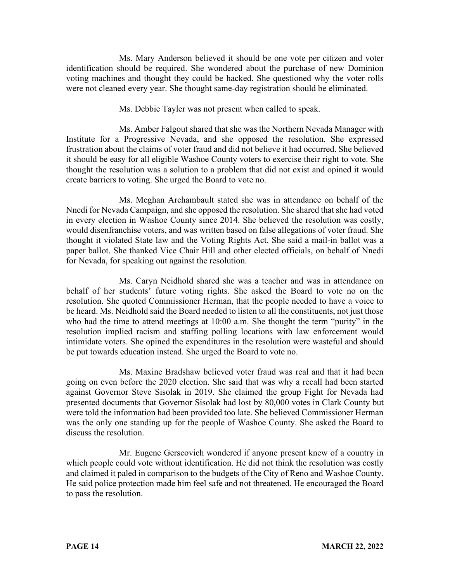Ms. Mary Anderson believed it should be one vote per citizen and voter identification should be required. She wondered about the purchase of new Dominion voting machines and thought they could be hacked. She questioned why the voter rolls were not cleaned every year. She thought same-day registration should be eliminated.

Ms. Debbie Tayler was not present when called to speak.

Ms. Amber Falgout shared that she was the Northern Nevada Manager with Institute for a Progressive Nevada, and she opposed the resolution. She expressed frustration about the claims of voter fraud and did not believe it had occurred. She believed it should be easy for all eligible Washoe County voters to exercise their right to vote. She thought the resolution was a solution to a problem that did not exist and opined it would create barriers to voting. She urged the Board to vote no.

Ms. Meghan Archambault stated she was in attendance on behalf of the Nnedi for Nevada Campaign, and she opposed the resolution. She shared that she had voted in every election in Washoe County since 2014. She believed the resolution was costly, would disenfranchise voters, and was written based on false allegations of voter fraud. She thought it violated State law and the Voting Rights Act. She said a mail-in ballot was a paper ballot. She thanked Vice Chair Hill and other elected officials, on behalf of Nnedi for Nevada, for speaking out against the resolution.

Ms. Caryn Neidhold shared she was a teacher and was in attendance on behalf of her students' future voting rights. She asked the Board to vote no on the resolution. She quoted Commissioner Herman, that the people needed to have a voice to be heard. Ms. Neidhold said the Board needed to listen to all the constituents, not just those who had the time to attend meetings at 10:00 a.m. She thought the term "purity" in the resolution implied racism and staffing polling locations with law enforcement would intimidate voters. She opined the expenditures in the resolution were wasteful and should be put towards education instead. She urged the Board to vote no.

Ms. Maxine Bradshaw believed voter fraud was real and that it had been going on even before the 2020 election. She said that was why a recall had been started against Governor Steve Sisolak in 2019. She claimed the group Fight for Nevada had presented documents that Governor Sisolak had lost by 80,000 votes in Clark County but were told the information had been provided too late. She believed Commissioner Herman was the only one standing up for the people of Washoe County. She asked the Board to discuss the resolution.

Mr. Eugene Gerscovich wondered if anyone present knew of a country in which people could vote without identification. He did not think the resolution was costly and claimed it paled in comparison to the budgets of the City of Reno and Washoe County. He said police protection made him feel safe and not threatened. He encouraged the Board to pass the resolution.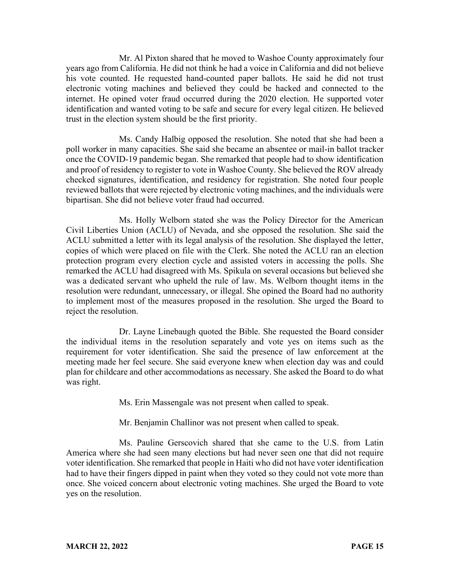Mr. Al Pixton shared that he moved to Washoe County approximately four years ago from California. He did not think he had a voice in California and did not believe his vote counted. He requested hand-counted paper ballots. He said he did not trust electronic voting machines and believed they could be hacked and connected to the internet. He opined voter fraud occurred during the 2020 election. He supported voter identification and wanted voting to be safe and secure for every legal citizen. He believed trust in the election system should be the first priority.

Ms. Candy Halbig opposed the resolution. She noted that she had been a poll worker in many capacities. She said she became an absentee or mail-in ballot tracker once the COVID-19 pandemic began. She remarked that people had to show identification and proof of residency to register to vote in Washoe County. She believed the ROV already checked signatures, identification, and residency for registration. She noted four people reviewed ballots that were rejected by electronic voting machines, and the individuals were bipartisan. She did not believe voter fraud had occurred.

Ms. Holly Welborn stated she was the Policy Director for the American Civil Liberties Union (ACLU) of Nevada, and she opposed the resolution. She said the ACLU submitted a letter with its legal analysis of the resolution. She displayed the letter, copies of which were placed on file with the Clerk. She noted the ACLU ran an election protection program every election cycle and assisted voters in accessing the polls. She remarked the ACLU had disagreed with Ms. Spikula on several occasions but believed she was a dedicated servant who upheld the rule of law. Ms. Welborn thought items in the resolution were redundant, unnecessary, or illegal. She opined the Board had no authority to implement most of the measures proposed in the resolution. She urged the Board to reject the resolution.

Dr. Layne Linebaugh quoted the Bible. She requested the Board consider the individual items in the resolution separately and vote yes on items such as the requirement for voter identification. She said the presence of law enforcement at the meeting made her feel secure. She said everyone knew when election day was and could plan for childcare and other accommodations as necessary. She asked the Board to do what was right.

Ms. Erin Massengale was not present when called to speak.

Mr. Benjamin Challinor was not present when called to speak.

Ms. Pauline Gerscovich shared that she came to the U.S. from Latin America where she had seen many elections but had never seen one that did not require voter identification. She remarked that people in Haiti who did not have voter identification had to have their fingers dipped in paint when they voted so they could not vote more than once. She voiced concern about electronic voting machines. She urged the Board to vote yes on the resolution.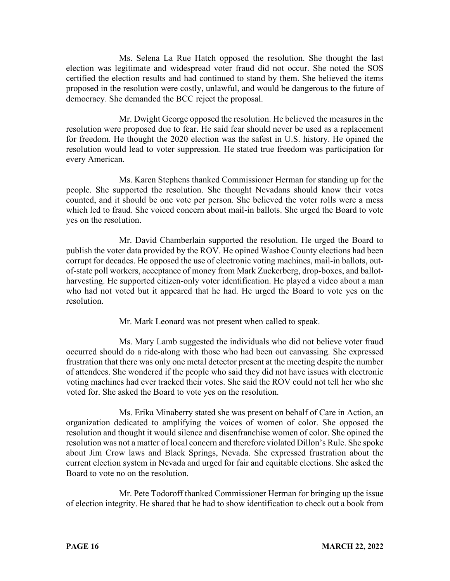Ms. Selena La Rue Hatch opposed the resolution. She thought the last election was legitimate and widespread voter fraud did not occur. She noted the SOS certified the election results and had continued to stand by them. She believed the items proposed in the resolution were costly, unlawful, and would be dangerous to the future of democracy. She demanded the BCC reject the proposal.

Mr. Dwight George opposed the resolution. He believed the measures in the resolution were proposed due to fear. He said fear should never be used as a replacement for freedom. He thought the 2020 election was the safest in U.S. history. He opined the resolution would lead to voter suppression. He stated true freedom was participation for every American.

Ms. Karen Stephens thanked Commissioner Herman for standing up for the people. She supported the resolution. She thought Nevadans should know their votes counted, and it should be one vote per person. She believed the voter rolls were a mess which led to fraud. She voiced concern about mail-in ballots. She urged the Board to vote yes on the resolution.

Mr. David Chamberlain supported the resolution. He urged the Board to publish the voter data provided by the ROV. He opined Washoe County elections had been corrupt for decades. He opposed the use of electronic voting machines, mail-in ballots, outof-state poll workers, acceptance of money from Mark Zuckerberg, drop-boxes, and ballotharvesting. He supported citizen-only voter identification. He played a video about a man who had not voted but it appeared that he had. He urged the Board to vote yes on the resolution.

Mr. Mark Leonard was not present when called to speak.

Ms. Mary Lamb suggested the individuals who did not believe voter fraud occurred should do a ride-along with those who had been out canvassing. She expressed frustration that there was only one metal detector present at the meeting despite the number of attendees. She wondered if the people who said they did not have issues with electronic voting machines had ever tracked their votes. She said the ROV could not tell her who she voted for. She asked the Board to vote yes on the resolution.

Ms. Erika Minaberry stated she was present on behalf of Care in Action, an organization dedicated to amplifying the voices of women of color. She opposed the resolution and thought it would silence and disenfranchise women of color. She opined the resolution was not a matter of local concern and therefore violated Dillon's Rule. She spoke about Jim Crow laws and Black Springs, Nevada. She expressed frustration about the current election system in Nevada and urged for fair and equitable elections. She asked the Board to vote no on the resolution.

Mr. Pete Todoroff thanked Commissioner Herman for bringing up the issue of election integrity. He shared that he had to show identification to check out a book from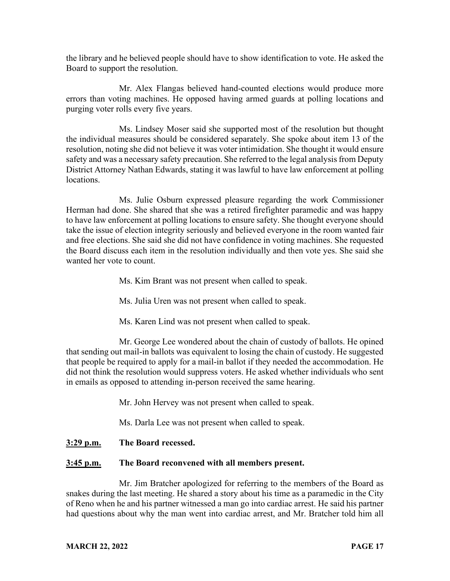the library and he believed people should have to show identification to vote. He asked the Board to support the resolution.

Mr. Alex Flangas believed hand-counted elections would produce more errors than voting machines. He opposed having armed guards at polling locations and purging voter rolls every five years.

Ms. Lindsey Moser said she supported most of the resolution but thought the individual measures should be considered separately. She spoke about item 13 of the resolution, noting she did not believe it was voter intimidation. She thought it would ensure safety and was a necessary safety precaution. She referred to the legal analysis from Deputy District Attorney Nathan Edwards, stating it was lawful to have law enforcement at polling locations.

Ms. Julie Osburn expressed pleasure regarding the work Commissioner Herman had done. She shared that she was a retired firefighter paramedic and was happy to have law enforcement at polling locations to ensure safety. She thought everyone should take the issue of election integrity seriously and believed everyone in the room wanted fair and free elections. She said she did not have confidence in voting machines. She requested the Board discuss each item in the resolution individually and then vote yes. She said she wanted her vote to count.

Ms. Kim Brant was not present when called to speak.

Ms. Julia Uren was not present when called to speak.

Ms. Karen Lind was not present when called to speak.

Mr. George Lee wondered about the chain of custody of ballots. He opined that sending out mail-in ballots was equivalent to losing the chain of custody. He suggested that people be required to apply for a mail-in ballot if they needed the accommodation. He did not think the resolution would suppress voters. He asked whether individuals who sent in emails as opposed to attending in-person received the same hearing.

Mr. John Hervey was not present when called to speak.

Ms. Darla Lee was not present when called to speak.

**3:29 p.m. The Board recessed.**

### **3:45 p.m. The Board reconvened with all members present.**

Mr. Jim Bratcher apologized for referring to the members of the Board as snakes during the last meeting. He shared a story about his time as a paramedic in the City of Reno when he and his partner witnessed a man go into cardiac arrest. He said his partner had questions about why the man went into cardiac arrest, and Mr. Bratcher told him all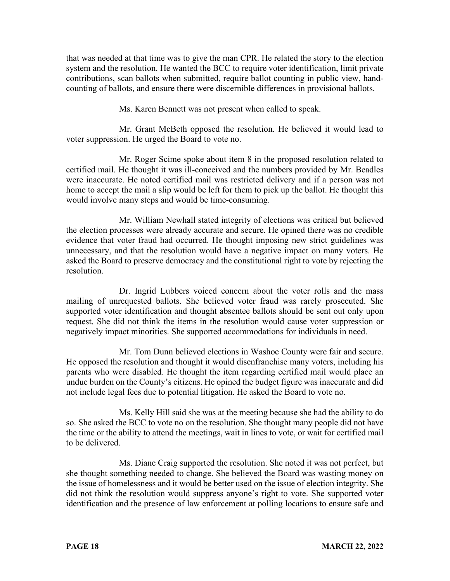that was needed at that time was to give the man CPR. He related the story to the election system and the resolution. He wanted the BCC to require voter identification, limit private contributions, scan ballots when submitted, require ballot counting in public view, handcounting of ballots, and ensure there were discernible differences in provisional ballots.

Ms. Karen Bennett was not present when called to speak.

Mr. Grant McBeth opposed the resolution. He believed it would lead to voter suppression. He urged the Board to vote no.

Mr. Roger Scime spoke about item 8 in the proposed resolution related to certified mail. He thought it was ill-conceived and the numbers provided by Mr. Beadles were inaccurate. He noted certified mail was restricted delivery and if a person was not home to accept the mail a slip would be left for them to pick up the ballot. He thought this would involve many steps and would be time-consuming.

Mr. William Newhall stated integrity of elections was critical but believed the election processes were already accurate and secure. He opined there was no credible evidence that voter fraud had occurred. He thought imposing new strict guidelines was unnecessary, and that the resolution would have a negative impact on many voters. He asked the Board to preserve democracy and the constitutional right to vote by rejecting the resolution.

Dr. Ingrid Lubbers voiced concern about the voter rolls and the mass mailing of unrequested ballots. She believed voter fraud was rarely prosecuted. She supported voter identification and thought absentee ballots should be sent out only upon request. She did not think the items in the resolution would cause voter suppression or negatively impact minorities. She supported accommodations for individuals in need.

Mr. Tom Dunn believed elections in Washoe County were fair and secure. He opposed the resolution and thought it would disenfranchise many voters, including his parents who were disabled. He thought the item regarding certified mail would place an undue burden on the County's citizens. He opined the budget figure was inaccurate and did not include legal fees due to potential litigation. He asked the Board to vote no.

Ms. Kelly Hill said she was at the meeting because she had the ability to do so. She asked the BCC to vote no on the resolution. She thought many people did not have the time or the ability to attend the meetings, wait in lines to vote, or wait for certified mail to be delivered.

Ms. Diane Craig supported the resolution. She noted it was not perfect, but she thought something needed to change. She believed the Board was wasting money on the issue of homelessness and it would be better used on the issue of election integrity. She did not think the resolution would suppress anyone's right to vote. She supported voter identification and the presence of law enforcement at polling locations to ensure safe and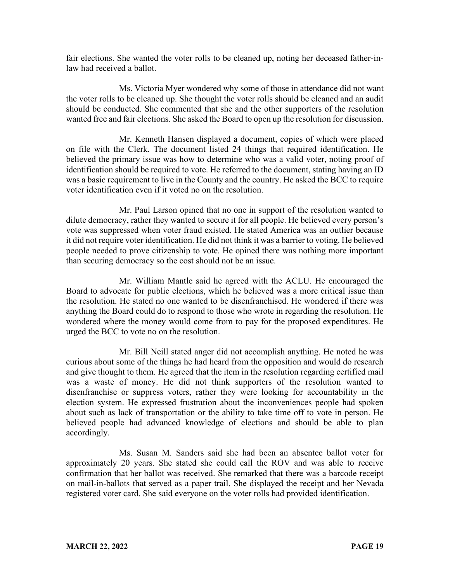fair elections. She wanted the voter rolls to be cleaned up, noting her deceased father-inlaw had received a ballot.

Ms. Victoria Myer wondered why some of those in attendance did not want the voter rolls to be cleaned up. She thought the voter rolls should be cleaned and an audit should be conducted. She commented that she and the other supporters of the resolution wanted free and fair elections. She asked the Board to open up the resolution for discussion.

Mr. Kenneth Hansen displayed a document, copies of which were placed on file with the Clerk. The document listed 24 things that required identification. He believed the primary issue was how to determine who was a valid voter, noting proof of identification should be required to vote. He referred to the document, stating having an ID was a basic requirement to live in the County and the country. He asked the BCC to require voter identification even if it voted no on the resolution.

Mr. Paul Larson opined that no one in support of the resolution wanted to dilute democracy, rather they wanted to secure it for all people. He believed every person's vote was suppressed when voter fraud existed. He stated America was an outlier because it did not require voter identification. He did not think it was a barrier to voting. He believed people needed to prove citizenship to vote. He opined there was nothing more important than securing democracy so the cost should not be an issue.

Mr. William Mantle said he agreed with the ACLU. He encouraged the Board to advocate for public elections, which he believed was a more critical issue than the resolution. He stated no one wanted to be disenfranchised. He wondered if there was anything the Board could do to respond to those who wrote in regarding the resolution. He wondered where the money would come from to pay for the proposed expenditures. He urged the BCC to vote no on the resolution.

Mr. Bill Neill stated anger did not accomplish anything. He noted he was curious about some of the things he had heard from the opposition and would do research and give thought to them. He agreed that the item in the resolution regarding certified mail was a waste of money. He did not think supporters of the resolution wanted to disenfranchise or suppress voters, rather they were looking for accountability in the election system. He expressed frustration about the inconveniences people had spoken about such as lack of transportation or the ability to take time off to vote in person. He believed people had advanced knowledge of elections and should be able to plan accordingly.

Ms. Susan M. Sanders said she had been an absentee ballot voter for approximately 20 years. She stated she could call the ROV and was able to receive confirmation that her ballot was received. She remarked that there was a barcode receipt on mail-in-ballots that served as a paper trail. She displayed the receipt and her Nevada registered voter card. She said everyone on the voter rolls had provided identification.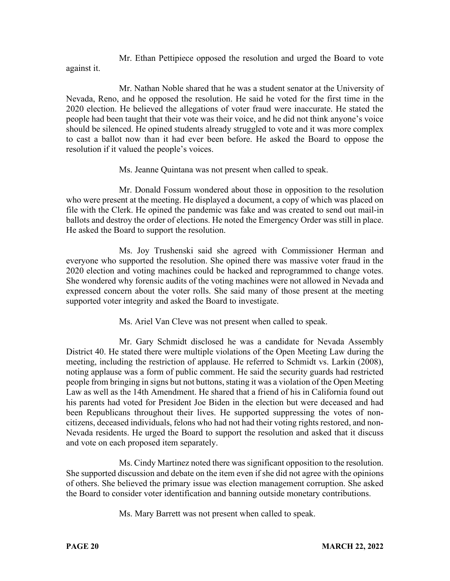Mr. Ethan Pettipiece opposed the resolution and urged the Board to vote against it.

Mr. Nathan Noble shared that he was a student senator at the University of Nevada, Reno, and he opposed the resolution. He said he voted for the first time in the 2020 election. He believed the allegations of voter fraud were inaccurate. He stated the people had been taught that their vote was their voice, and he did not think anyone's voice should be silenced. He opined students already struggled to vote and it was more complex to cast a ballot now than it had ever been before. He asked the Board to oppose the resolution if it valued the people's voices.

Ms. Jeanne Quintana was not present when called to speak.

Mr. Donald Fossum wondered about those in opposition to the resolution who were present at the meeting. He displayed a document, a copy of which was placed on file with the Clerk. He opined the pandemic was fake and was created to send out mail-in ballots and destroy the order of elections. He noted the Emergency Order was still in place. He asked the Board to support the resolution.

Ms. Joy Trushenski said she agreed with Commissioner Herman and everyone who supported the resolution. She opined there was massive voter fraud in the 2020 election and voting machines could be hacked and reprogrammed to change votes. She wondered why forensic audits of the voting machines were not allowed in Nevada and expressed concern about the voter rolls. She said many of those present at the meeting supported voter integrity and asked the Board to investigate.

Ms. Ariel Van Cleve was not present when called to speak.

Mr. Gary Schmidt disclosed he was a candidate for Nevada Assembly District 40. He stated there were multiple violations of the Open Meeting Law during the meeting, including the restriction of applause. He referred to Schmidt vs. Larkin (2008), noting applause was a form of public comment. He said the security guards had restricted people from bringing in signs but not buttons, stating it was a violation of the Open Meeting Law as well as the 14th Amendment. He shared that a friend of his in California found out his parents had voted for President Joe Biden in the election but were deceased and had been Republicans throughout their lives. He supported suppressing the votes of noncitizens, deceased individuals, felons who had not had their voting rights restored, and non-Nevada residents. He urged the Board to support the resolution and asked that it discuss and vote on each proposed item separately.

Ms. Cindy Martinez noted there was significant opposition to the resolution. She supported discussion and debate on the item even if she did not agree with the opinions of others. She believed the primary issue was election management corruption. She asked the Board to consider voter identification and banning outside monetary contributions.

Ms. Mary Barrett was not present when called to speak.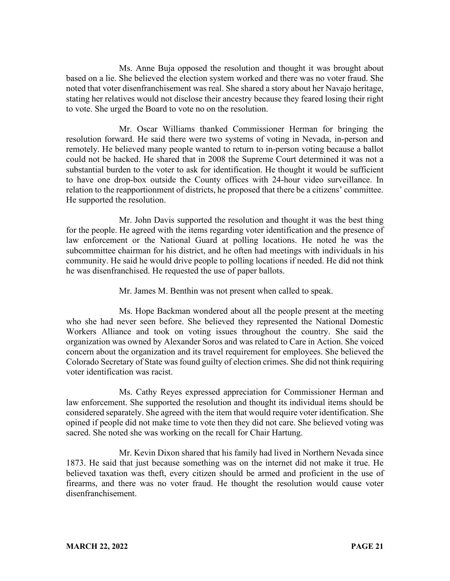Ms. Anne Buja opposed the resolution and thought it was brought about based on a lie. She believed the election system worked and there was no voter fraud. She noted that voter disenfranchisement was real. She shared a story about her Navajo heritage, stating her relatives would not disclose their ancestry because they feared losing their right to vote. She urged the Board to vote no on the resolution.

Mr. Oscar Williams thanked Commissioner Herman for bringing the resolution forward. He said there were two systems of voting in Nevada, in-person and remotely. He believed many people wanted to return to in-person voting because a ballot could not be hacked. He shared that in 2008 the Supreme Court determined it was not a substantial burden to the voter to ask for identification. He thought it would be sufficient to have one drop-box outside the County offices with 24-hour video surveillance. In relation to the reapportionment of districts, he proposed that there be a citizens' committee. He supported the resolution.

Mr. John Davis supported the resolution and thought it was the best thing for the people. He agreed with the items regarding voter identification and the presence of law enforcement or the National Guard at polling locations. He noted he was the subcommittee chairman for his district, and he often had meetings with individuals in his community. He said he would drive people to polling locations if needed. He did not think he was disenfranchised. He requested the use of paper ballots.

Mr. James M. Benthin was not present when called to speak.

Ms. Hope Backman wondered about all the people present at the meeting who she had never seen before. She believed they represented the National Domestic Workers Alliance and took on voting issues throughout the country. She said the organization was owned by Alexander Soros and was related to Care in Action. She voiced concern about the organization and its travel requirement for employees. She believed the Colorado Secretary of State was found guilty of election crimes. She did not think requiring voter identification was racist.

Ms. Cathy Reyes expressed appreciation for Commissioner Herman and law enforcement. She supported the resolution and thought its individual items should be considered separately. She agreed with the item that would require voter identification. She opined if people did not make time to vote then they did not care. She believed voting was sacred. She noted she was working on the recall for Chair Hartung.

Mr. Kevin Dixon shared that his family had lived in Northern Nevada since 1873. He said that just because something was on the internet did not make it true. He believed taxation was theft, every citizen should be armed and proficient in the use of firearms, and there was no voter fraud. He thought the resolution would cause voter disenfranchisement.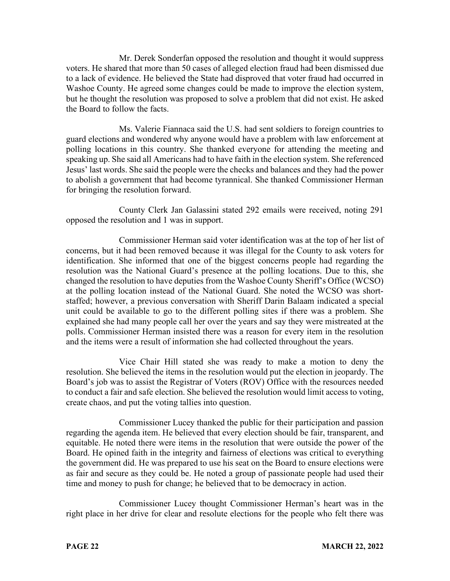Mr. Derek Sonderfan opposed the resolution and thought it would suppress voters. He shared that more than 50 cases of alleged election fraud had been dismissed due to a lack of evidence. He believed the State had disproved that voter fraud had occurred in Washoe County. He agreed some changes could be made to improve the election system, but he thought the resolution was proposed to solve a problem that did not exist. He asked the Board to follow the facts.

Ms. Valerie Fiannaca said the U.S. had sent soldiers to foreign countries to guard elections and wondered why anyone would have a problem with law enforcement at polling locations in this country. She thanked everyone for attending the meeting and speaking up. She said all Americans had to have faith in the election system. She referenced Jesus' last words. She said the people were the checks and balances and they had the power to abolish a government that had become tyrannical. She thanked Commissioner Herman for bringing the resolution forward.

County Clerk Jan Galassini stated 292 emails were received, noting 291 opposed the resolution and 1 was in support.

Commissioner Herman said voter identification was at the top of her list of concerns, but it had been removed because it was illegal for the County to ask voters for identification. She informed that one of the biggest concerns people had regarding the resolution was the National Guard's presence at the polling locations. Due to this, she changed the resolution to have deputies from the Washoe County Sheriff's Office (WCSO) at the polling location instead of the National Guard. She noted the WCSO was shortstaffed; however, a previous conversation with Sheriff Darin Balaam indicated a special unit could be available to go to the different polling sites if there was a problem. She explained she had many people call her over the years and say they were mistreated at the polls. Commissioner Herman insisted there was a reason for every item in the resolution and the items were a result of information she had collected throughout the years.

Vice Chair Hill stated she was ready to make a motion to deny the resolution. She believed the items in the resolution would put the election in jeopardy. The Board's job was to assist the Registrar of Voters (ROV) Office with the resources needed to conduct a fair and safe election. She believed the resolution would limit access to voting, create chaos, and put the voting tallies into question.

Commissioner Lucey thanked the public for their participation and passion regarding the agenda item. He believed that every election should be fair, transparent, and equitable. He noted there were items in the resolution that were outside the power of the Board. He opined faith in the integrity and fairness of elections was critical to everything the government did. He was prepared to use his seat on the Board to ensure elections were as fair and secure as they could be. He noted a group of passionate people had used their time and money to push for change; he believed that to be democracy in action.

Commissioner Lucey thought Commissioner Herman's heart was in the right place in her drive for clear and resolute elections for the people who felt there was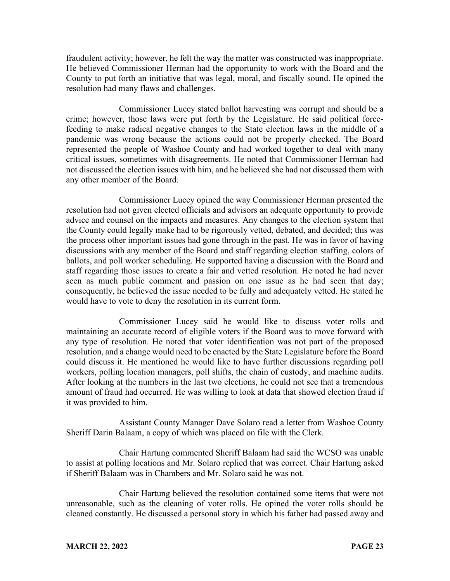fraudulent activity; however, he felt the way the matter was constructed was inappropriate. He believed Commissioner Herman had the opportunity to work with the Board and the County to put forth an initiative that was legal, moral, and fiscally sound. He opined the resolution had many flaws and challenges.

Commissioner Lucey stated ballot harvesting was corrupt and should be a crime; however, those laws were put forth by the Legislature. He said political forcefeeding to make radical negative changes to the State election laws in the middle of a pandemic was wrong because the actions could not be properly checked. The Board represented the people of Washoe County and had worked together to deal with many critical issues, sometimes with disagreements. He noted that Commissioner Herman had not discussed the election issues with him, and he believed she had not discussed them with any other member of the Board.

Commissioner Lucey opined the way Commissioner Herman presented the resolution had not given elected officials and advisors an adequate opportunity to provide advice and counsel on the impacts and measures. Any changes to the election system that the County could legally make had to be rigorously vetted, debated, and decided; this was the process other important issues had gone through in the past. He was in favor of having discussions with any member of the Board and staff regarding election staffing, colors of ballots, and poll worker scheduling. He supported having a discussion with the Board and staff regarding those issues to create a fair and vetted resolution. He noted he had never seen as much public comment and passion on one issue as he had seen that day; consequently, he believed the issue needed to be fully and adequately vetted. He stated he would have to vote to deny the resolution in its current form.

Commissioner Lucey said he would like to discuss voter rolls and maintaining an accurate record of eligible voters if the Board was to move forward with any type of resolution. He noted that voter identification was not part of the proposed resolution, and a change would need to be enacted by the State Legislature before the Board could discuss it. He mentioned he would like to have further discussions regarding poll workers, polling location managers, poll shifts, the chain of custody, and machine audits. After looking at the numbers in the last two elections, he could not see that a tremendous amount of fraud had occurred. He was willing to look at data that showed election fraud if it was provided to him.

Assistant County Manager Dave Solaro read a letter from Washoe County Sheriff Darin Balaam, a copy of which was placed on file with the Clerk.

Chair Hartung commented Sheriff Balaam had said the WCSO was unable to assist at polling locations and Mr. Solaro replied that was correct. Chair Hartung asked if Sheriff Balaam was in Chambers and Mr. Solaro said he was not.

Chair Hartung believed the resolution contained some items that were not unreasonable, such as the cleaning of voter rolls. He opined the voter rolls should be cleaned constantly. He discussed a personal story in which his father had passed away and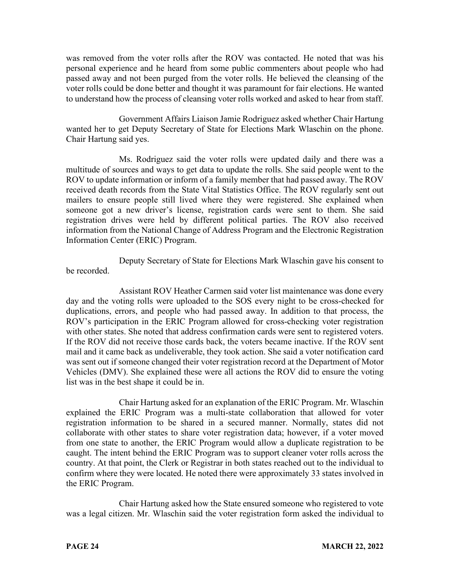was removed from the voter rolls after the ROV was contacted. He noted that was his personal experience and he heard from some public commenters about people who had passed away and not been purged from the voter rolls. He believed the cleansing of the voter rolls could be done better and thought it was paramount for fair elections. He wanted to understand how the process of cleansing voter rolls worked and asked to hear from staff.

Government Affairs Liaison Jamie Rodriguez asked whether Chair Hartung wanted her to get Deputy Secretary of State for Elections Mark Wlaschin on the phone. Chair Hartung said yes.

Ms. Rodriguez said the voter rolls were updated daily and there was a multitude of sources and ways to get data to update the rolls. She said people went to the ROV to update information or inform of a family member that had passed away. The ROV received death records from the State Vital Statistics Office. The ROV regularly sent out mailers to ensure people still lived where they were registered. She explained when someone got a new driver's license, registration cards were sent to them. She said registration drives were held by different political parties. The ROV also received information from the National Change of Address Program and the Electronic Registration Information Center (ERIC) Program.

Deputy Secretary of State for Elections Mark Wlaschin gave his consent to be recorded.

Assistant ROV Heather Carmen said voter list maintenance was done every day and the voting rolls were uploaded to the SOS every night to be cross-checked for duplications, errors, and people who had passed away. In addition to that process, the ROV's participation in the ERIC Program allowed for cross-checking voter registration with other states. She noted that address confirmation cards were sent to registered voters. If the ROV did not receive those cards back, the voters became inactive. If the ROV sent mail and it came back as undeliverable, they took action. She said a voter notification card was sent out if someone changed their voter registration record at the Department of Motor Vehicles (DMV). She explained these were all actions the ROV did to ensure the voting list was in the best shape it could be in.

Chair Hartung asked for an explanation of the ERIC Program. Mr. Wlaschin explained the ERIC Program was a multi-state collaboration that allowed for voter registration information to be shared in a secured manner. Normally, states did not collaborate with other states to share voter registration data; however, if a voter moved from one state to another, the ERIC Program would allow a duplicate registration to be caught. The intent behind the ERIC Program was to support cleaner voter rolls across the country. At that point, the Clerk or Registrar in both states reached out to the individual to confirm where they were located. He noted there were approximately 33 states involved in the ERIC Program.

Chair Hartung asked how the State ensured someone who registered to vote was a legal citizen. Mr. Wlaschin said the voter registration form asked the individual to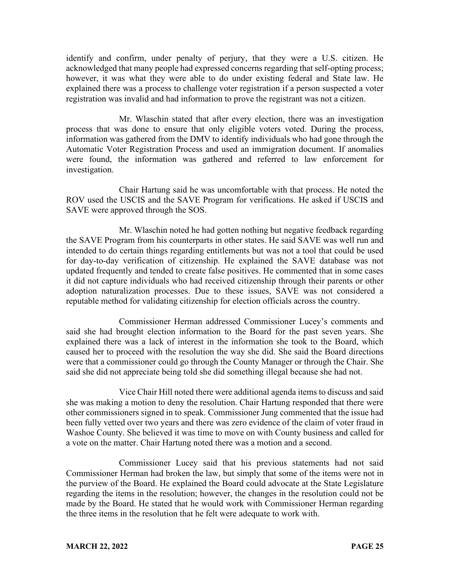identify and confirm, under penalty of perjury, that they were a U.S. citizen. He acknowledged that many people had expressed concerns regarding that self-opting process; however, it was what they were able to do under existing federal and State law. He explained there was a process to challenge voter registration if a person suspected a voter registration was invalid and had information to prove the registrant was not a citizen.

Mr. Wlaschin stated that after every election, there was an investigation process that was done to ensure that only eligible voters voted. During the process, information was gathered from the DMV to identify individuals who had gone through the Automatic Voter Registration Process and used an immigration document. If anomalies were found, the information was gathered and referred to law enforcement for investigation.

Chair Hartung said he was uncomfortable with that process. He noted the ROV used the USCIS and the SAVE Program for verifications. He asked if USCIS and SAVE were approved through the SOS.

Mr. Wlaschin noted he had gotten nothing but negative feedback regarding the SAVE Program from his counterparts in other states. He said SAVE was well run and intended to do certain things regarding entitlements but was not a tool that could be used for day-to-day verification of citizenship. He explained the SAVE database was not updated frequently and tended to create false positives. He commented that in some cases it did not capture individuals who had received citizenship through their parents or other adoption naturalization processes. Due to these issues, SAVE was not considered a reputable method for validating citizenship for election officials across the country.

Commissioner Herman addressed Commissioner Lucey's comments and said she had brought election information to the Board for the past seven years. She explained there was a lack of interest in the information she took to the Board, which caused her to proceed with the resolution the way she did. She said the Board directions were that a commissioner could go through the County Manager or through the Chair. She said she did not appreciate being told she did something illegal because she had not.

Vice Chair Hill noted there were additional agenda items to discuss and said she was making a motion to deny the resolution. Chair Hartung responded that there were other commissioners signed in to speak. Commissioner Jung commented that the issue had been fully vetted over two years and there was zero evidence of the claim of voter fraud in Washoe County. She believed it was time to move on with County business and called for a vote on the matter. Chair Hartung noted there was a motion and a second.

Commissioner Lucey said that his previous statements had not said Commissioner Herman had broken the law, but simply that some of the items were not in the purview of the Board. He explained the Board could advocate at the State Legislature regarding the items in the resolution; however, the changes in the resolution could not be made by the Board. He stated that he would work with Commissioner Herman regarding the three items in the resolution that he felt were adequate to work with.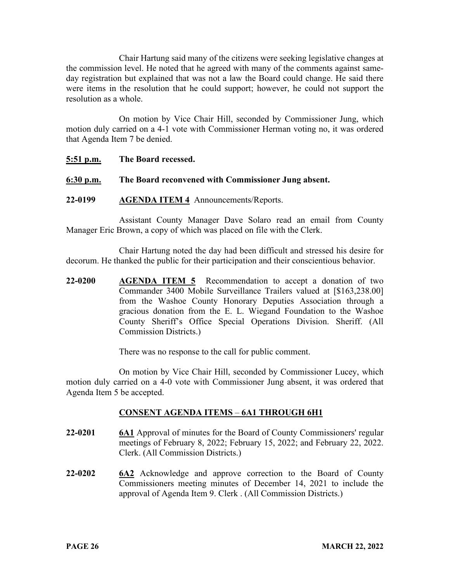Chair Hartung said many of the citizens were seeking legislative changes at the commission level. He noted that he agreed with many of the comments against sameday registration but explained that was not a law the Board could change. He said there were items in the resolution that he could support; however, he could not support the resolution as a whole.

On motion by Vice Chair Hill, seconded by Commissioner Jung, which motion duly carried on a 4-1 vote with Commissioner Herman voting no, it was ordered that Agenda Item 7 be denied.

| 5:51 p.m.   | The Board recessed.                                 |
|-------------|-----------------------------------------------------|
| $6:30$ p.m. | The Board reconvened with Commissioner Jung absent. |

**22-0199 AGENDA ITEM 4** Announcements/Reports.

Assistant County Manager Dave Solaro read an email from County Manager Eric Brown, a copy of which was placed on file with the Clerk.

Chair Hartung noted the day had been difficult and stressed his desire for decorum. He thanked the public for their participation and their conscientious behavior.

**22-0200 AGENDA ITEM 5** Recommendation to accept a donation of two Commander 3400 Mobile Surveillance Trailers valued at [\$163,238.00] from the Washoe County Honorary Deputies Association through a gracious donation from the E. L. Wiegand Foundation to the Washoe County Sheriff's Office Special Operations Division. Sheriff. (All Commission Districts.)

There was no response to the call for public comment.

On motion by Vice Chair Hill, seconded by Commissioner Lucey, which motion duly carried on a 4-0 vote with Commissioner Jung absent, it was ordered that Agenda Item 5 be accepted.

## **CONSENT AGENDA ITEMS** – **6A1 THROUGH 6H1**

- **22-0201 6A1** Approval of minutes for the Board of County Commissioners' regular meetings of February 8, 2022; February 15, 2022; and February 22, 2022. Clerk. (All Commission Districts.)
- **22-0202 6A2** Acknowledge and approve correction to the Board of County Commissioners meeting minutes of December 14, 2021 to include the approval of Agenda Item 9. Clerk . (All Commission Districts.)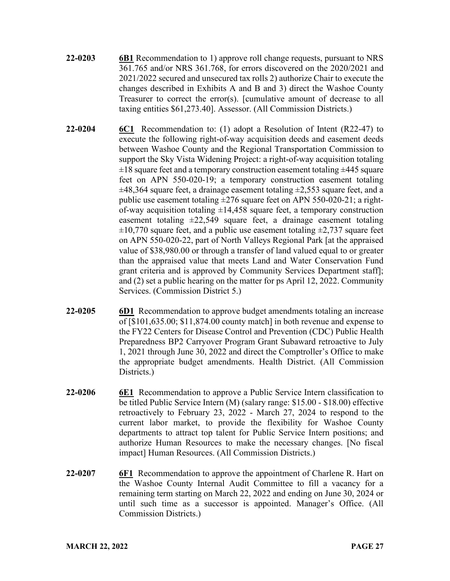- **22-0203 6B1** Recommendation to 1) approve roll change requests, pursuant to NRS 361.765 and/or NRS 361.768, for errors discovered on the 2020/2021 and 2021/2022 secured and unsecured tax rolls 2) authorize Chair to execute the changes described in Exhibits A and B and 3) direct the Washoe County Treasurer to correct the error(s). [cumulative amount of decrease to all taxing entities \$61,273.40]. Assessor. (All Commission Districts.)
- **22-0204 6C1** Recommendation to: (1) adopt a Resolution of Intent (R22-47) to execute the following right-of-way acquisition deeds and easement deeds between Washoe County and the Regional Transportation Commission to support the Sky Vista Widening Project: a right-of-way acquisition totaling  $\pm 18$  square feet and a temporary construction easement totaling  $\pm 445$  square feet on APN 550-020-19; a temporary construction easement totaling  $\pm 48,364$  square feet, a drainage easement totaling  $\pm 2,553$  square feet, and a public use easement totaling  $\pm 276$  square feet on APN 550-020-21; a rightof-way acquisition totaling  $\pm 14,458$  square feet, a temporary construction easement totaling  $\pm 22,549$  square feet, a drainage easement totaling  $\pm 10,770$  square feet, and a public use easement totaling  $\pm 2,737$  square feet on APN 550-020-22, part of North Valleys Regional Park [at the appraised value of \$38,980.00 or through a transfer of land valued equal to or greater than the appraised value that meets Land and Water Conservation Fund grant criteria and is approved by Community Services Department staff]; and (2) set a public hearing on the matter for ps April 12, 2022. Community Services. (Commission District 5.)
- **22-0205 6D1** Recommendation to approve budget amendments totaling an increase of [\$101,635.00; \$11,874.00 county match] in both revenue and expense to the FY22 Centers for Disease Control and Prevention (CDC) Public Health Preparedness BP2 Carryover Program Grant Subaward retroactive to July 1, 2021 through June 30, 2022 and direct the Comptroller's Office to make the appropriate budget amendments. Health District. (All Commission Districts.)
- **22-0206 6E1** Recommendation to approve a Public Service Intern classification to be titled Public Service Intern (M) (salary range: \$15.00 - \$18.00) effective retroactively to February 23, 2022 - March 27, 2024 to respond to the current labor market, to provide the flexibility for Washoe County departments to attract top talent for Public Service Intern positions; and authorize Human Resources to make the necessary changes. [No fiscal impact] Human Resources. (All Commission Districts.)
- **22-0207 6F1** Recommendation to approve the appointment of Charlene R. Hart on the Washoe County Internal Audit Committee to fill a vacancy for a remaining term starting on March 22, 2022 and ending on June 30, 2024 or until such time as a successor is appointed. Manager's Office. (All Commission Districts.)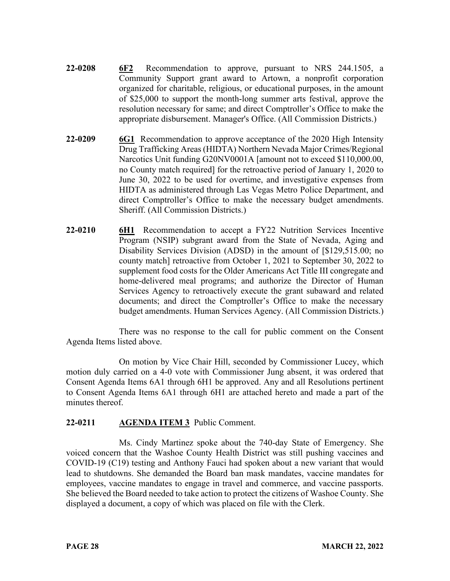- **22-0208 6F2** Recommendation to approve, pursuant to NRS 244.1505, a Community Support grant award to Artown, a nonprofit corporation organized for charitable, religious, or educational purposes, in the amount of \$25,000 to support the month-long summer arts festival, approve the resolution necessary for same; and direct Comptroller's Office to make the appropriate disbursement. Manager's Office. (All Commission Districts.)
- **22-0209 6G1** Recommendation to approve acceptance of the 2020 High Intensity Drug Trafficking Areas (HIDTA) Northern Nevada Major Crimes/Regional Narcotics Unit funding G20NV0001A [amount not to exceed \$110,000.00, no County match required] for the retroactive period of January 1, 2020 to June 30, 2022 to be used for overtime, and investigative expenses from HIDTA as administered through Las Vegas Metro Police Department, and direct Comptroller's Office to make the necessary budget amendments. Sheriff. (All Commission Districts.)
- **22-0210 6H1** Recommendation to accept a FY22 Nutrition Services Incentive Program (NSIP) subgrant award from the State of Nevada, Aging and Disability Services Division (ADSD) in the amount of [\$129,515.00; no county match] retroactive from October 1, 2021 to September 30, 2022 to supplement food costs for the Older Americans Act Title III congregate and home-delivered meal programs; and authorize the Director of Human Services Agency to retroactively execute the grant subaward and related documents; and direct the Comptroller's Office to make the necessary budget amendments. Human Services Agency. (All Commission Districts.)

There was no response to the call for public comment on the Consent Agenda Items listed above.

On motion by Vice Chair Hill, seconded by Commissioner Lucey, which motion duly carried on a 4-0 vote with Commissioner Jung absent, it was ordered that Consent Agenda Items 6A1 through 6H1 be approved. Any and all Resolutions pertinent to Consent Agenda Items 6A1 through 6H1 are attached hereto and made a part of the minutes thereof.

## **22-0211 AGENDA ITEM 3** Public Comment.

Ms. Cindy Martinez spoke about the 740-day State of Emergency. She voiced concern that the Washoe County Health District was still pushing vaccines and COVID-19 (C19) testing and Anthony Fauci had spoken about a new variant that would lead to shutdowns. She demanded the Board ban mask mandates, vaccine mandates for employees, vaccine mandates to engage in travel and commerce, and vaccine passports. She believed the Board needed to take action to protect the citizens of Washoe County. She displayed a document, a copy of which was placed on file with the Clerk.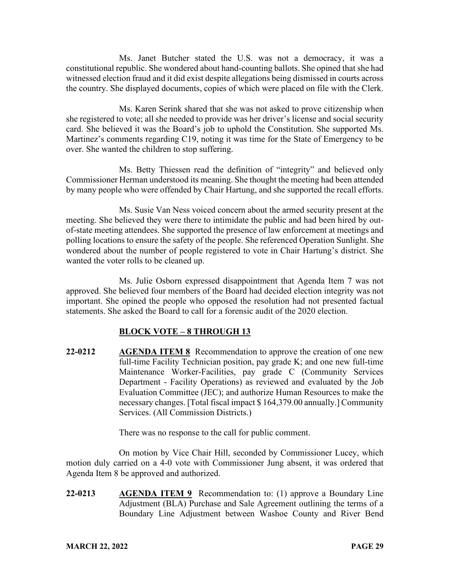Ms. Janet Butcher stated the U.S. was not a democracy, it was a constitutional republic. She wondered about hand-counting ballots. She opined that she had witnessed election fraud and it did exist despite allegations being dismissed in courts across the country. She displayed documents, copies of which were placed on file with the Clerk.

Ms. Karen Serink shared that she was not asked to prove citizenship when she registered to vote; all she needed to provide was her driver's license and social security card. She believed it was the Board's job to uphold the Constitution. She supported Ms. Martinez's comments regarding C19, noting it was time for the State of Emergency to be over. She wanted the children to stop suffering.

Ms. Betty Thiessen read the definition of "integrity" and believed only Commissioner Herman understood its meaning. She thought the meeting had been attended by many people who were offended by Chair Hartung, and she supported the recall efforts.

Ms. Susie Van Ness voiced concern about the armed security present at the meeting. She believed they were there to intimidate the public and had been hired by outof-state meeting attendees. She supported the presence of law enforcement at meetings and polling locations to ensure the safety of the people. She referenced Operation Sunlight. She wondered about the number of people registered to vote in Chair Hartung's district. She wanted the voter rolls to be cleaned up.

Ms. Julie Osborn expressed disappointment that Agenda Item 7 was not approved. She believed four members of the Board had decided election integrity was not important. She opined the people who opposed the resolution had not presented factual statements. She asked the Board to call for a forensic audit of the 2020 election.

### **BLOCK VOTE – 8 THROUGH 13**

**22-0212 AGENDA ITEM 8** Recommendation to approve the creation of one new full-time Facility Technician position, pay grade K; and one new full-time Maintenance Worker-Facilities, pay grade C (Community Services Department - Facility Operations) as reviewed and evaluated by the Job Evaluation Committee (JEC); and authorize Human Resources to make the necessary changes. [Total fiscal impact \$ 164,379.00 annually.] Community Services. (All Commission Districts.)

There was no response to the call for public comment.

On motion by Vice Chair Hill, seconded by Commissioner Lucey, which motion duly carried on a 4-0 vote with Commissioner Jung absent, it was ordered that Agenda Item 8 be approved and authorized.

**22-0213 AGENDA ITEM 9** Recommendation to: (1) approve a Boundary Line Adjustment (BLA) Purchase and Sale Agreement outlining the terms of a Boundary Line Adjustment between Washoe County and River Bend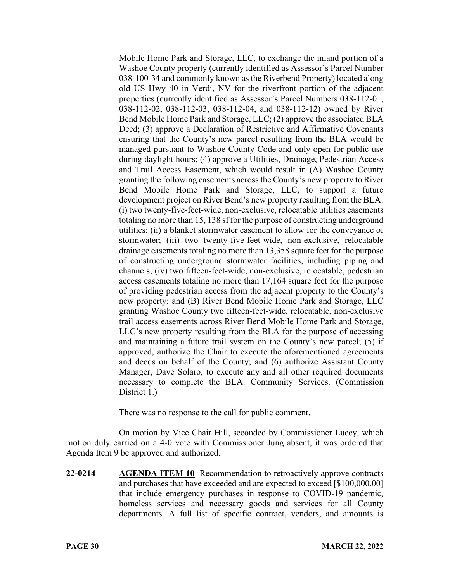Mobile Home Park and Storage, LLC, to exchange the inland portion of a Washoe County property (currently identified as Assessor's Parcel Number 038-100-34 and commonly known as the Riverbend Property) located along old US Hwy 40 in Verdi, NV for the riverfront portion of the adjacent properties (currently identified as Assessor's Parcel Numbers 038-112-01, 038-112-02, 038-112-03, 038-112-04, and 038-112-12) owned by River Bend Mobile Home Park and Storage, LLC; (2) approve the associated BLA Deed; (3) approve a Declaration of Restrictive and Affirmative Covenants ensuring that the County's new parcel resulting from the BLA would be managed pursuant to Washoe County Code and only open for public use during daylight hours; (4) approve a Utilities, Drainage, Pedestrian Access and Trail Access Easement, which would result in (A) Washoe County granting the following easements across the County's new property to River Bend Mobile Home Park and Storage, LLC, to support a future development project on River Bend's new property resulting from the BLA: (i) two twenty-five-feet-wide, non-exclusive, relocatable utilities easements totaling no more than 15, 138 sf for the purpose of constructing underground utilities; (ii) a blanket stormwater easement to allow for the conveyance of stormwater; (iii) two twenty-five-feet-wide, non-exclusive, relocatable drainage easements totaling no more than 13,358 square feet for the purpose of constructing underground stormwater facilities, including piping and channels; (iv) two fifteen-feet-wide, non-exclusive, relocatable, pedestrian access easements totaling no more than 17,164 square feet for the purpose of providing pedestrian access from the adjacent property to the County's new property; and (B) River Bend Mobile Home Park and Storage, LLC granting Washoe County two fifteen-feet-wide, relocatable, non-exclusive trail access easements across River Bend Mobile Home Park and Storage, LLC's new property resulting from the BLA for the purpose of accessing and maintaining a future trail system on the County's new parcel; (5) if approved, authorize the Chair to execute the aforementioned agreements and deeds on behalf of the County; and (6) authorize Assistant County Manager, Dave Solaro, to execute any and all other required documents necessary to complete the BLA. Community Services. (Commission District 1.)

There was no response to the call for public comment.

On motion by Vice Chair Hill, seconded by Commissioner Lucey, which motion duly carried on a 4-0 vote with Commissioner Jung absent, it was ordered that Agenda Item 9 be approved and authorized.

**22-0214 AGENDA ITEM 10** Recommendation to retroactively approve contracts and purchases that have exceeded and are expected to exceed [\$100,000.00] that include emergency purchases in response to COVID-19 pandemic, homeless services and necessary goods and services for all County departments. A full list of specific contract, vendors, and amounts is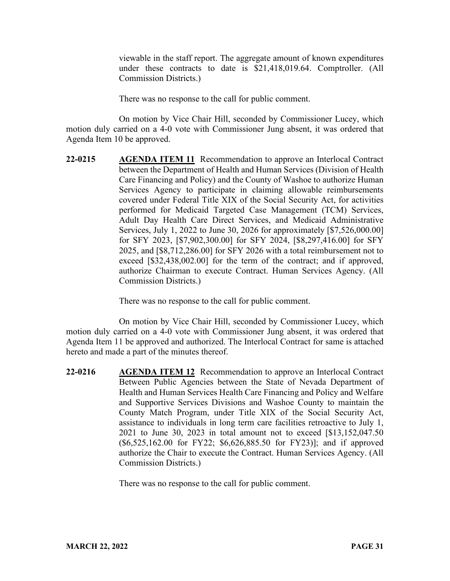viewable in the staff report. The aggregate amount of known expenditures under these contracts to date is \$21,418,019.64. Comptroller. (All Commission Districts.)

There was no response to the call for public comment.

On motion by Vice Chair Hill, seconded by Commissioner Lucey, which motion duly carried on a 4-0 vote with Commissioner Jung absent, it was ordered that Agenda Item 10 be approved.

**22-0215 AGENDA ITEM 11** Recommendation to approve an Interlocal Contract between the Department of Health and Human Services (Division of Health Care Financing and Policy) and the County of Washoe to authorize Human Services Agency to participate in claiming allowable reimbursements covered under Federal Title XIX of the Social Security Act, for activities performed for Medicaid Targeted Case Management (TCM) Services, Adult Day Health Care Direct Services, and Medicaid Administrative Services, July 1, 2022 to June 30, 2026 for approximately [\$7,526,000.00] for SFY 2023, [\$7,902,300.00] for SFY 2024, [\$8,297,416.00] for SFY 2025, and [\$8,712,286.00] for SFY 2026 with a total reimbursement not to exceed [\$32,438,002.00] for the term of the contract; and if approved, authorize Chairman to execute Contract. Human Services Agency. (All Commission Districts.)

There was no response to the call for public comment.

On motion by Vice Chair Hill, seconded by Commissioner Lucey, which motion duly carried on a 4-0 vote with Commissioner Jung absent, it was ordered that Agenda Item 11 be approved and authorized. The Interlocal Contract for same is attached hereto and made a part of the minutes thereof.

**22-0216 AGENDA ITEM 12** Recommendation to approve an Interlocal Contract Between Public Agencies between the State of Nevada Department of Health and Human Services Health Care Financing and Policy and Welfare and Supportive Services Divisions and Washoe County to maintain the County Match Program, under Title XIX of the Social Security Act, assistance to individuals in long term care facilities retroactive to July 1, 2021 to June 30, 2023 in total amount not to exceed [\$13,152,047.50 (\$6,525,162.00 for FY22; \$6,626,885.50 for FY23)]; and if approved authorize the Chair to execute the Contract. Human Services Agency. (All Commission Districts.)

There was no response to the call for public comment.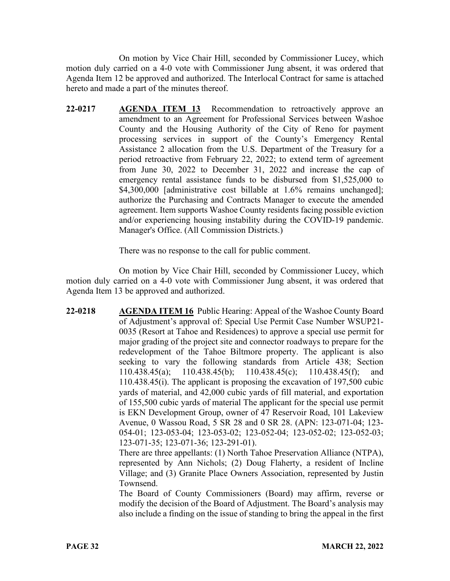On motion by Vice Chair Hill, seconded by Commissioner Lucey, which motion duly carried on a 4-0 vote with Commissioner Jung absent, it was ordered that Agenda Item 12 be approved and authorized. The Interlocal Contract for same is attached hereto and made a part of the minutes thereof.

**22-0217 AGENDA ITEM 13** Recommendation to retroactively approve an amendment to an Agreement for Professional Services between Washoe County and the Housing Authority of the City of Reno for payment processing services in support of the County's Emergency Rental Assistance 2 allocation from the U.S. Department of the Treasury for a period retroactive from February 22, 2022; to extend term of agreement from June 30, 2022 to December 31, 2022 and increase the cap of emergency rental assistance funds to be disbursed from \$1,525,000 to \$4,300,000 [administrative cost billable at 1.6% remains unchanged]; authorize the Purchasing and Contracts Manager to execute the amended agreement. Item supports Washoe County residents facing possible eviction and/or experiencing housing instability during the COVID-19 pandemic. Manager's Office. (All Commission Districts.)

There was no response to the call for public comment.

On motion by Vice Chair Hill, seconded by Commissioner Lucey, which motion duly carried on a 4-0 vote with Commissioner Jung absent, it was ordered that Agenda Item 13 be approved and authorized.

**22-0218 AGENDA ITEM 16** Public Hearing: Appeal of the Washoe County Board of Adjustment's approval of: Special Use Permit Case Number WSUP21- 0035 (Resort at Tahoe and Residences) to approve a special use permit for major grading of the project site and connector roadways to prepare for the redevelopment of the Tahoe Biltmore property. The applicant is also seeking to vary the following standards from Article 438; Section 110.438.45(a); 110.438.45(b); 110.438.45(c); 110.438.45(f); and 110.438.45(i). The applicant is proposing the excavation of 197,500 cubic yards of material, and 42,000 cubic yards of fill material, and exportation of 155,500 cubic yards of material The applicant for the special use permit is EKN Development Group, owner of 47 Reservoir Road, 101 Lakeview Avenue, 0 Wassou Road, 5 SR 28 and 0 SR 28. (APN: 123-071-04; 123- 054-01; 123-053-04; 123-053-02; 123-052-04; 123-052-02; 123-052-03; 123-071-35; 123-071-36; 123-291-01).

> There are three appellants: (1) North Tahoe Preservation Alliance (NTPA), represented by Ann Nichols; (2) Doug Flaherty, a resident of Incline Village; and (3) Granite Place Owners Association, represented by Justin Townsend.

> The Board of County Commissioners (Board) may affirm, reverse or modify the decision of the Board of Adjustment. The Board's analysis may also include a finding on the issue of standing to bring the appeal in the first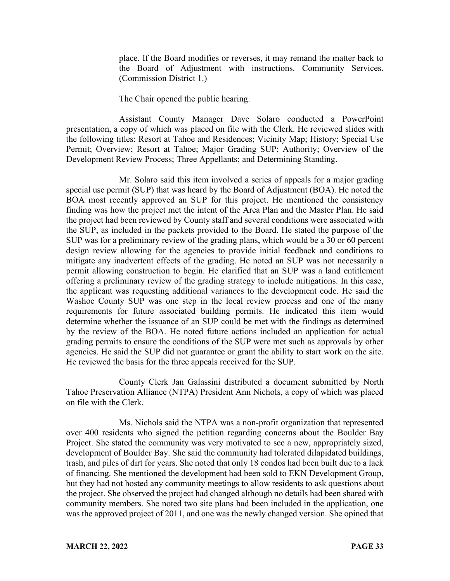place. If the Board modifies or reverses, it may remand the matter back to the Board of Adjustment with instructions. Community Services. (Commission District 1.)

The Chair opened the public hearing.

Assistant County Manager Dave Solaro conducted a PowerPoint presentation, a copy of which was placed on file with the Clerk. He reviewed slides with the following titles: Resort at Tahoe and Residences; Vicinity Map; History; Special Use Permit; Overview; Resort at Tahoe; Major Grading SUP; Authority; Overview of the Development Review Process; Three Appellants; and Determining Standing.

Mr. Solaro said this item involved a series of appeals for a major grading special use permit (SUP) that was heard by the Board of Adjustment (BOA). He noted the BOA most recently approved an SUP for this project. He mentioned the consistency finding was how the project met the intent of the Area Plan and the Master Plan. He said the project had been reviewed by County staff and several conditions were associated with the SUP, as included in the packets provided to the Board. He stated the purpose of the SUP was for a preliminary review of the grading plans, which would be a 30 or 60 percent design review allowing for the agencies to provide initial feedback and conditions to mitigate any inadvertent effects of the grading. He noted an SUP was not necessarily a permit allowing construction to begin. He clarified that an SUP was a land entitlement offering a preliminary review of the grading strategy to include mitigations. In this case, the applicant was requesting additional variances to the development code. He said the Washoe County SUP was one step in the local review process and one of the many requirements for future associated building permits. He indicated this item would determine whether the issuance of an SUP could be met with the findings as determined by the review of the BOA. He noted future actions included an application for actual grading permits to ensure the conditions of the SUP were met such as approvals by other agencies. He said the SUP did not guarantee or grant the ability to start work on the site. He reviewed the basis for the three appeals received for the SUP.

County Clerk Jan Galassini distributed a document submitted by North Tahoe Preservation Alliance (NTPA) President Ann Nichols, a copy of which was placed on file with the Clerk.

Ms. Nichols said the NTPA was a non-profit organization that represented over 400 residents who signed the petition regarding concerns about the Boulder Bay Project. She stated the community was very motivated to see a new, appropriately sized, development of Boulder Bay. She said the community had tolerated dilapidated buildings, trash, and piles of dirt for years. She noted that only 18 condos had been built due to a lack of financing. She mentioned the development had been sold to EKN Development Group, but they had not hosted any community meetings to allow residents to ask questions about the project. She observed the project had changed although no details had been shared with community members. She noted two site plans had been included in the application, one was the approved project of 2011, and one was the newly changed version. She opined that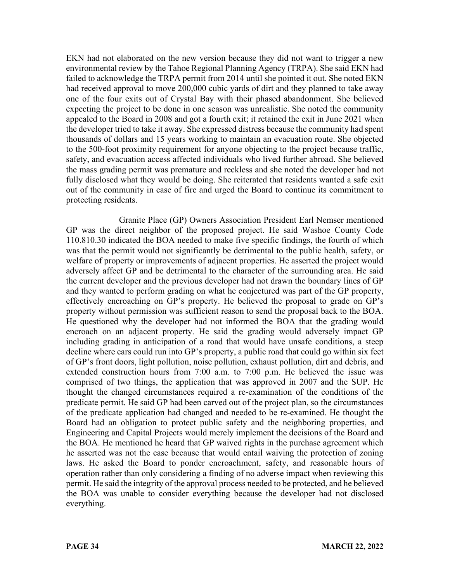EKN had not elaborated on the new version because they did not want to trigger a new environmental review by the Tahoe Regional Planning Agency (TRPA). She said EKN had failed to acknowledge the TRPA permit from 2014 until she pointed it out. She noted EKN had received approval to move 200,000 cubic yards of dirt and they planned to take away one of the four exits out of Crystal Bay with their phased abandonment. She believed expecting the project to be done in one season was unrealistic. She noted the community appealed to the Board in 2008 and got a fourth exit; it retained the exit in June 2021 when the developer tried to take it away. She expressed distress because the community had spent thousands of dollars and 15 years working to maintain an evacuation route. She objected to the 500-foot proximity requirement for anyone objecting to the project because traffic, safety, and evacuation access affected individuals who lived further abroad. She believed the mass grading permit was premature and reckless and she noted the developer had not fully disclosed what they would be doing. She reiterated that residents wanted a safe exit out of the community in case of fire and urged the Board to continue its commitment to protecting residents.

Granite Place (GP) Owners Association President Earl Nemser mentioned GP was the direct neighbor of the proposed project. He said Washoe County Code 110.810.30 indicated the BOA needed to make five specific findings, the fourth of which was that the permit would not significantly be detrimental to the public health, safety, or welfare of property or improvements of adjacent properties. He asserted the project would adversely affect GP and be detrimental to the character of the surrounding area. He said the current developer and the previous developer had not drawn the boundary lines of GP and they wanted to perform grading on what he conjectured was part of the GP property, effectively encroaching on GP's property. He believed the proposal to grade on GP's property without permission was sufficient reason to send the proposal back to the BOA. He questioned why the developer had not informed the BOA that the grading would encroach on an adjacent property. He said the grading would adversely impact GP including grading in anticipation of a road that would have unsafe conditions, a steep decline where cars could run into GP's property, a public road that could go within six feet of GP's front doors, light pollution, noise pollution, exhaust pollution, dirt and debris, and extended construction hours from 7:00 a.m. to 7:00 p.m. He believed the issue was comprised of two things, the application that was approved in 2007 and the SUP. He thought the changed circumstances required a re-examination of the conditions of the predicate permit. He said GP had been carved out of the project plan, so the circumstances of the predicate application had changed and needed to be re-examined. He thought the Board had an obligation to protect public safety and the neighboring properties, and Engineering and Capital Projects would merely implement the decisions of the Board and the BOA. He mentioned he heard that GP waived rights in the purchase agreement which he asserted was not the case because that would entail waiving the protection of zoning laws. He asked the Board to ponder encroachment, safety, and reasonable hours of operation rather than only considering a finding of no adverse impact when reviewing this permit. He said the integrity of the approval process needed to be protected, and he believed the BOA was unable to consider everything because the developer had not disclosed everything.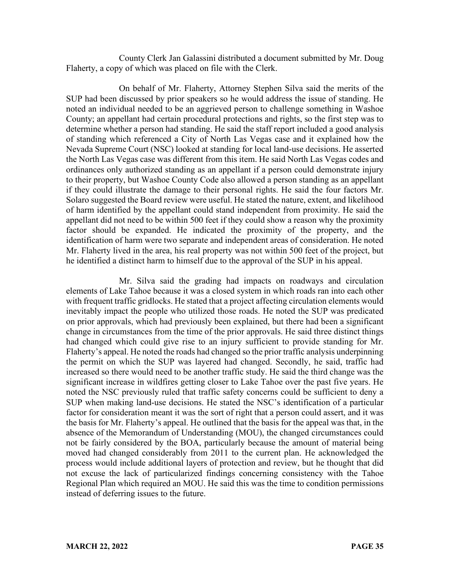County Clerk Jan Galassini distributed a document submitted by Mr. Doug Flaherty, a copy of which was placed on file with the Clerk.

On behalf of Mr. Flaherty, Attorney Stephen Silva said the merits of the SUP had been discussed by prior speakers so he would address the issue of standing. He noted an individual needed to be an aggrieved person to challenge something in Washoe County; an appellant had certain procedural protections and rights, so the first step was to determine whether a person had standing. He said the staff report included a good analysis of standing which referenced a City of North Las Vegas case and it explained how the Nevada Supreme Court (NSC) looked at standing for local land-use decisions. He asserted the North Las Vegas case was different from this item. He said North Las Vegas codes and ordinances only authorized standing as an appellant if a person could demonstrate injury to their property, but Washoe County Code also allowed a person standing as an appellant if they could illustrate the damage to their personal rights. He said the four factors Mr. Solaro suggested the Board review were useful. He stated the nature, extent, and likelihood of harm identified by the appellant could stand independent from proximity. He said the appellant did not need to be within 500 feet if they could show a reason why the proximity factor should be expanded. He indicated the proximity of the property, and the identification of harm were two separate and independent areas of consideration. He noted Mr. Flaherty lived in the area, his real property was not within 500 feet of the project, but he identified a distinct harm to himself due to the approval of the SUP in his appeal.

Mr. Silva said the grading had impacts on roadways and circulation elements of Lake Tahoe because it was a closed system in which roads ran into each other with frequent traffic gridlocks. He stated that a project affecting circulation elements would inevitably impact the people who utilized those roads. He noted the SUP was predicated on prior approvals, which had previously been explained, but there had been a significant change in circumstances from the time of the prior approvals. He said three distinct things had changed which could give rise to an injury sufficient to provide standing for Mr. Flaherty's appeal. He noted the roads had changed so the prior traffic analysis underpinning the permit on which the SUP was layered had changed. Secondly, he said, traffic had increased so there would need to be another traffic study. He said the third change was the significant increase in wildfires getting closer to Lake Tahoe over the past five years. He noted the NSC previously ruled that traffic safety concerns could be sufficient to deny a SUP when making land-use decisions. He stated the NSC's identification of a particular factor for consideration meant it was the sort of right that a person could assert, and it was the basis for Mr. Flaherty's appeal. He outlined that the basis for the appeal was that, in the absence of the Memorandum of Understanding (MOU), the changed circumstances could not be fairly considered by the BOA, particularly because the amount of material being moved had changed considerably from 2011 to the current plan. He acknowledged the process would include additional layers of protection and review, but he thought that did not excuse the lack of particularized findings concerning consistency with the Tahoe Regional Plan which required an MOU. He said this was the time to condition permissions instead of deferring issues to the future.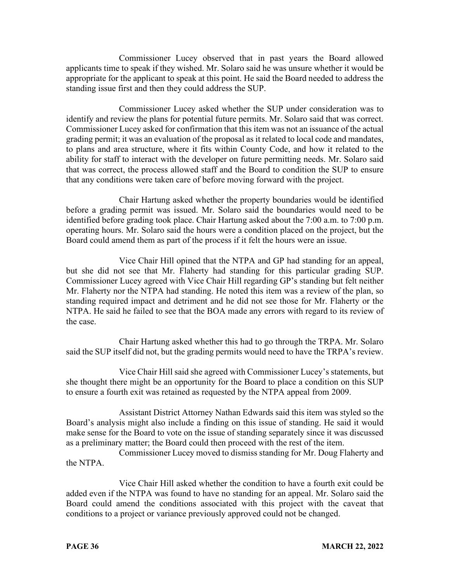Commissioner Lucey observed that in past years the Board allowed applicants time to speak if they wished. Mr. Solaro said he was unsure whether it would be appropriate for the applicant to speak at this point. He said the Board needed to address the standing issue first and then they could address the SUP.

Commissioner Lucey asked whether the SUP under consideration was to identify and review the plans for potential future permits. Mr. Solaro said that was correct. Commissioner Lucey asked for confirmation that this item was not an issuance of the actual grading permit; it was an evaluation of the proposal as it related to local code and mandates, to plans and area structure, where it fits within County Code, and how it related to the ability for staff to interact with the developer on future permitting needs. Mr. Solaro said that was correct, the process allowed staff and the Board to condition the SUP to ensure that any conditions were taken care of before moving forward with the project.

Chair Hartung asked whether the property boundaries would be identified before a grading permit was issued. Mr. Solaro said the boundaries would need to be identified before grading took place. Chair Hartung asked about the 7:00 a.m. to 7:00 p.m. operating hours. Mr. Solaro said the hours were a condition placed on the project, but the Board could amend them as part of the process if it felt the hours were an issue.

Vice Chair Hill opined that the NTPA and GP had standing for an appeal, but she did not see that Mr. Flaherty had standing for this particular grading SUP. Commissioner Lucey agreed with Vice Chair Hill regarding GP's standing but felt neither Mr. Flaherty nor the NTPA had standing. He noted this item was a review of the plan, so standing required impact and detriment and he did not see those for Mr. Flaherty or the NTPA. He said he failed to see that the BOA made any errors with regard to its review of the case.

Chair Hartung asked whether this had to go through the TRPA. Mr. Solaro said the SUP itself did not, but the grading permits would need to have the TRPA's review.

Vice Chair Hill said she agreed with Commissioner Lucey's statements, but she thought there might be an opportunity for the Board to place a condition on this SUP to ensure a fourth exit was retained as requested by the NTPA appeal from 2009.

Assistant District Attorney Nathan Edwards said this item was styled so the Board's analysis might also include a finding on this issue of standing. He said it would make sense for the Board to vote on the issue of standing separately since it was discussed as a preliminary matter; the Board could then proceed with the rest of the item.

Commissioner Lucey moved to dismiss standing for Mr. Doug Flaherty and the NTPA.

Vice Chair Hill asked whether the condition to have a fourth exit could be added even if the NTPA was found to have no standing for an appeal. Mr. Solaro said the Board could amend the conditions associated with this project with the caveat that conditions to a project or variance previously approved could not be changed.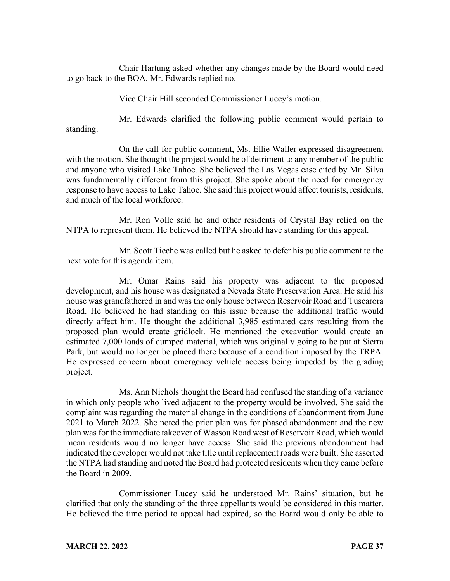Chair Hartung asked whether any changes made by the Board would need to go back to the BOA. Mr. Edwards replied no.

Vice Chair Hill seconded Commissioner Lucey's motion.

Mr. Edwards clarified the following public comment would pertain to standing.

On the call for public comment, Ms. Ellie Waller expressed disagreement with the motion. She thought the project would be of detriment to any member of the public and anyone who visited Lake Tahoe. She believed the Las Vegas case cited by Mr. Silva was fundamentally different from this project. She spoke about the need for emergency response to have access to Lake Tahoe. She said this project would affect tourists, residents, and much of the local workforce.

Mr. Ron Volle said he and other residents of Crystal Bay relied on the NTPA to represent them. He believed the NTPA should have standing for this appeal.

Mr. Scott Tieche was called but he asked to defer his public comment to the next vote for this agenda item.

Mr. Omar Rains said his property was adjacent to the proposed development, and his house was designated a Nevada State Preservation Area. He said his house was grandfathered in and was the only house between Reservoir Road and Tuscarora Road. He believed he had standing on this issue because the additional traffic would directly affect him. He thought the additional 3,985 estimated cars resulting from the proposed plan would create gridlock. He mentioned the excavation would create an estimated 7,000 loads of dumped material, which was originally going to be put at Sierra Park, but would no longer be placed there because of a condition imposed by the TRPA. He expressed concern about emergency vehicle access being impeded by the grading project.

Ms. Ann Nichols thought the Board had confused the standing of a variance in which only people who lived adjacent to the property would be involved. She said the complaint was regarding the material change in the conditions of abandonment from June 2021 to March 2022. She noted the prior plan was for phased abandonment and the new plan was for the immediate takeover of Wassou Road west of Reservoir Road, which would mean residents would no longer have access. She said the previous abandonment had indicated the developer would not take title until replacement roads were built. She asserted the NTPA had standing and noted the Board had protected residents when they came before the Board in 2009.

Commissioner Lucey said he understood Mr. Rains' situation, but he clarified that only the standing of the three appellants would be considered in this matter. He believed the time period to appeal had expired, so the Board would only be able to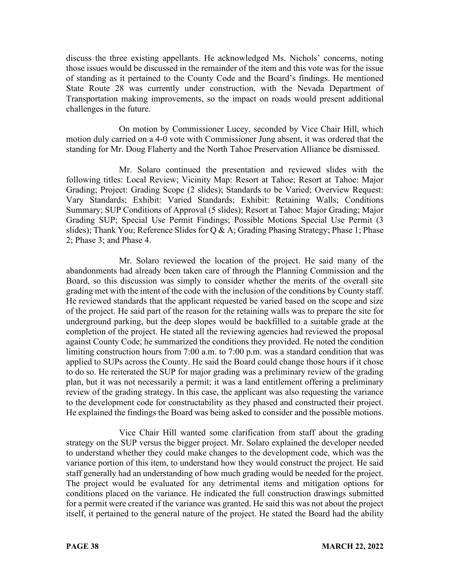discuss the three existing appellants. He acknowledged Ms. Nichols' concerns, noting those issues would be discussed in the remainder of the item and this vote was for the issue of standing as it pertained to the County Code and the Board's findings. He mentioned State Route 28 was currently under construction, with the Nevada Department of Transportation making improvements, so the impact on roads would present additional challenges in the future.

On motion by Commissioner Lucey, seconded by Vice Chair Hill, which motion duly carried on a 4-0 vote with Commissioner Jung absent, it was ordered that the standing for Mr. Doug Flaherty and the North Tahoe Preservation Alliance be dismissed.

Mr. Solaro continued the presentation and reviewed slides with the following titles: Local Review; Vicinity Map: Resort at Tahoe; Resort at Tahoe: Major Grading; Project: Grading Scope (2 slides); Standards to be Varied; Overview Request: Vary Standards; Exhibit: Varied Standards; Exhibit: Retaining Walls; Conditions Summary; SUP Conditions of Approval (5 slides); Resort at Tahoe: Major Grading; Major Grading SUP; Special Use Permit Findings; Possible Motions Special Use Permit (3 slides); Thank You; Reference Slides for Q & A; Grading Phasing Strategy; Phase 1; Phase 2; Phase 3; and Phase 4.

Mr. Solaro reviewed the location of the project. He said many of the abandonments had already been taken care of through the Planning Commission and the Board, so this discussion was simply to consider whether the merits of the overall site grading met with the intent of the code with the inclusion of the conditions by County staff. He reviewed standards that the applicant requested be varied based on the scope and size of the project. He said part of the reason for the retaining walls was to prepare the site for underground parking, but the deep slopes would be backfilled to a suitable grade at the completion of the project. He stated all the reviewing agencies had reviewed the proposal against County Code; he summarized the conditions they provided. He noted the condition limiting construction hours from 7:00 a.m. to 7:00 p.m. was a standard condition that was applied to SUPs across the County. He said the Board could change those hours if it chose to do so. He reiterated the SUP for major grading was a preliminary review of the grading plan, but it was not necessarily a permit; it was a land entitlement offering a preliminary review of the grading strategy. In this case, the applicant was also requesting the variance to the development code for constructability as they phased and constructed their project. He explained the findings the Board was being asked to consider and the possible motions.

Vice Chair Hill wanted some clarification from staff about the grading strategy on the SUP versus the bigger project. Mr. Solaro explained the developer needed to understand whether they could make changes to the development code, which was the variance portion of this item, to understand how they would construct the project. He said staff generally had an understanding of how much grading would be needed for the project. The project would be evaluated for any detrimental items and mitigation options for conditions placed on the variance. He indicated the full construction drawings submitted for a permit were created if the variance was granted. He said this was not about the project itself, it pertained to the general nature of the project. He stated the Board had the ability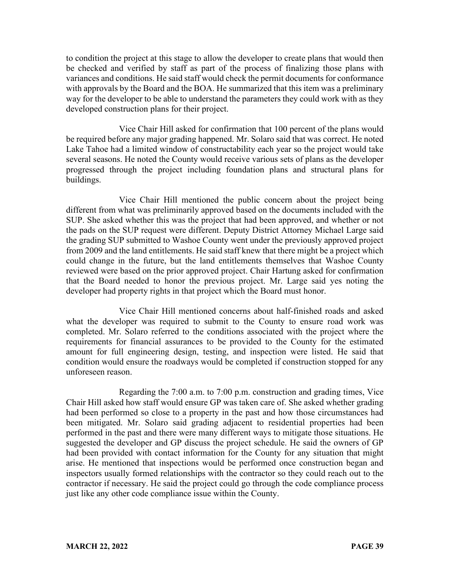to condition the project at this stage to allow the developer to create plans that would then be checked and verified by staff as part of the process of finalizing those plans with variances and conditions. He said staff would check the permit documents for conformance with approvals by the Board and the BOA. He summarized that this item was a preliminary way for the developer to be able to understand the parameters they could work with as they developed construction plans for their project.

Vice Chair Hill asked for confirmation that 100 percent of the plans would be required before any major grading happened. Mr. Solaro said that was correct. He noted Lake Tahoe had a limited window of constructability each year so the project would take several seasons. He noted the County would receive various sets of plans as the developer progressed through the project including foundation plans and structural plans for buildings.

Vice Chair Hill mentioned the public concern about the project being different from what was preliminarily approved based on the documents included with the SUP. She asked whether this was the project that had been approved, and whether or not the pads on the SUP request were different. Deputy District Attorney Michael Large said the grading SUP submitted to Washoe County went under the previously approved project from 2009 and the land entitlements. He said staff knew that there might be a project which could change in the future, but the land entitlements themselves that Washoe County reviewed were based on the prior approved project. Chair Hartung asked for confirmation that the Board needed to honor the previous project. Mr. Large said yes noting the developer had property rights in that project which the Board must honor.

Vice Chair Hill mentioned concerns about half-finished roads and asked what the developer was required to submit to the County to ensure road work was completed. Mr. Solaro referred to the conditions associated with the project where the requirements for financial assurances to be provided to the County for the estimated amount for full engineering design, testing, and inspection were listed. He said that condition would ensure the roadways would be completed if construction stopped for any unforeseen reason.

Regarding the 7:00 a.m. to 7:00 p.m. construction and grading times, Vice Chair Hill asked how staff would ensure GP was taken care of. She asked whether grading had been performed so close to a property in the past and how those circumstances had been mitigated. Mr. Solaro said grading adjacent to residential properties had been performed in the past and there were many different ways to mitigate those situations. He suggested the developer and GP discuss the project schedule. He said the owners of GP had been provided with contact information for the County for any situation that might arise. He mentioned that inspections would be performed once construction began and inspectors usually formed relationships with the contractor so they could reach out to the contractor if necessary. He said the project could go through the code compliance process just like any other code compliance issue within the County.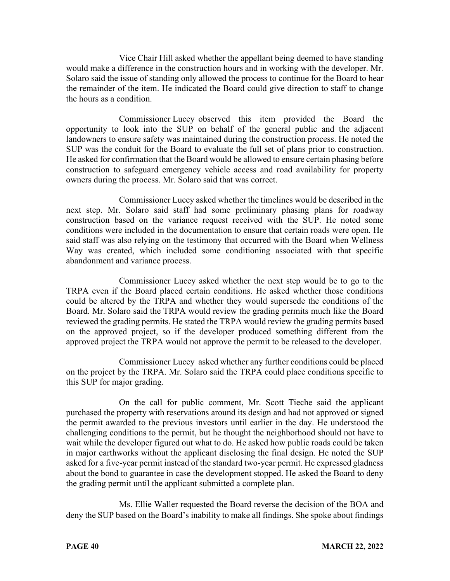Vice Chair Hill asked whether the appellant being deemed to have standing would make a difference in the construction hours and in working with the developer. Mr. Solaro said the issue of standing only allowed the process to continue for the Board to hear the remainder of the item. He indicated the Board could give direction to staff to change the hours as a condition.

Commissioner Lucey observed this item provided the Board the opportunity to look into the SUP on behalf of the general public and the adjacent landowners to ensure safety was maintained during the construction process. He noted the SUP was the conduit for the Board to evaluate the full set of plans prior to construction. He asked for confirmation that the Board would be allowed to ensure certain phasing before construction to safeguard emergency vehicle access and road availability for property owners during the process. Mr. Solaro said that was correct.

Commissioner Lucey asked whether the timelines would be described in the next step. Mr. Solaro said staff had some preliminary phasing plans for roadway construction based on the variance request received with the SUP. He noted some conditions were included in the documentation to ensure that certain roads were open. He said staff was also relying on the testimony that occurred with the Board when Wellness Way was created, which included some conditioning associated with that specific abandonment and variance process.

Commissioner Lucey asked whether the next step would be to go to the TRPA even if the Board placed certain conditions. He asked whether those conditions could be altered by the TRPA and whether they would supersede the conditions of the Board. Mr. Solaro said the TRPA would review the grading permits much like the Board reviewed the grading permits. He stated the TRPA would review the grading permits based on the approved project, so if the developer produced something different from the approved project the TRPA would not approve the permit to be released to the developer.

Commissioner Lucey asked whether any further conditions could be placed on the project by the TRPA. Mr. Solaro said the TRPA could place conditions specific to this SUP for major grading.

On the call for public comment, Mr. Scott Tieche said the applicant purchased the property with reservations around its design and had not approved or signed the permit awarded to the previous investors until earlier in the day. He understood the challenging conditions to the permit, but he thought the neighborhood should not have to wait while the developer figured out what to do. He asked how public roads could be taken in major earthworks without the applicant disclosing the final design. He noted the SUP asked for a five-year permit instead of the standard two-year permit. He expressed gladness about the bond to guarantee in case the development stopped. He asked the Board to deny the grading permit until the applicant submitted a complete plan.

Ms. Ellie Waller requested the Board reverse the decision of the BOA and deny the SUP based on the Board's inability to make all findings. She spoke about findings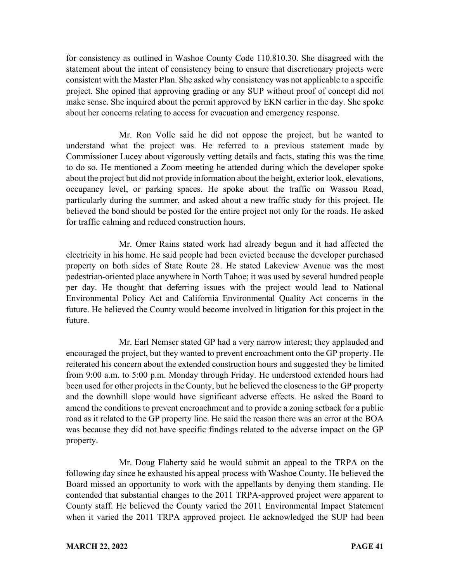for consistency as outlined in Washoe County Code 110.810.30. She disagreed with the statement about the intent of consistency being to ensure that discretionary projects were consistent with the Master Plan. She asked why consistency was not applicable to a specific project. She opined that approving grading or any SUP without proof of concept did not make sense. She inquired about the permit approved by EKN earlier in the day. She spoke about her concerns relating to access for evacuation and emergency response.

Mr. Ron Volle said he did not oppose the project, but he wanted to understand what the project was. He referred to a previous statement made by Commissioner Lucey about vigorously vetting details and facts, stating this was the time to do so. He mentioned a Zoom meeting he attended during which the developer spoke about the project but did not provide information about the height, exterior look, elevations, occupancy level, or parking spaces. He spoke about the traffic on Wassou Road, particularly during the summer, and asked about a new traffic study for this project. He believed the bond should be posted for the entire project not only for the roads. He asked for traffic calming and reduced construction hours.

Mr. Omer Rains stated work had already begun and it had affected the electricity in his home. He said people had been evicted because the developer purchased property on both sides of State Route 28. He stated Lakeview Avenue was the most pedestrian-oriented place anywhere in North Tahoe; it was used by several hundred people per day. He thought that deferring issues with the project would lead to National Environmental Policy Act and California Environmental Quality Act concerns in the future. He believed the County would become involved in litigation for this project in the future.

Mr. Earl Nemser stated GP had a very narrow interest; they applauded and encouraged the project, but they wanted to prevent encroachment onto the GP property. He reiterated his concern about the extended construction hours and suggested they be limited from 9:00 a.m. to 5:00 p.m. Monday through Friday. He understood extended hours had been used for other projects in the County, but he believed the closeness to the GP property and the downhill slope would have significant adverse effects. He asked the Board to amend the conditions to prevent encroachment and to provide a zoning setback for a public road as it related to the GP property line. He said the reason there was an error at the BOA was because they did not have specific findings related to the adverse impact on the GP property.

Mr. Doug Flaherty said he would submit an appeal to the TRPA on the following day since he exhausted his appeal process with Washoe County. He believed the Board missed an opportunity to work with the appellants by denying them standing. He contended that substantial changes to the 2011 TRPA-approved project were apparent to County staff. He believed the County varied the 2011 Environmental Impact Statement when it varied the 2011 TRPA approved project. He acknowledged the SUP had been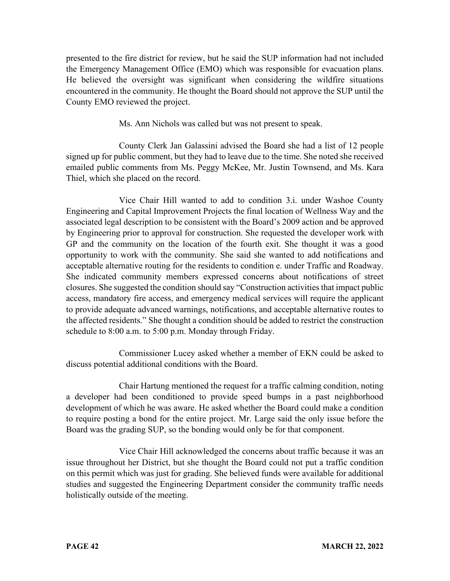presented to the fire district for review, but he said the SUP information had not included the Emergency Management Office (EMO) which was responsible for evacuation plans. He believed the oversight was significant when considering the wildfire situations encountered in the community. He thought the Board should not approve the SUP until the County EMO reviewed the project.

Ms. Ann Nichols was called but was not present to speak.

County Clerk Jan Galassini advised the Board she had a list of 12 people signed up for public comment, but they had to leave due to the time. She noted she received emailed public comments from Ms. Peggy McKee, Mr. Justin Townsend, and Ms. Kara Thiel, which she placed on the record.

Vice Chair Hill wanted to add to condition 3.i. under Washoe County Engineering and Capital Improvement Projects the final location of Wellness Way and the associated legal description to be consistent with the Board's 2009 action and be approved by Engineering prior to approval for construction. She requested the developer work with GP and the community on the location of the fourth exit. She thought it was a good opportunity to work with the community. She said she wanted to add notifications and acceptable alternative routing for the residents to condition e. under Traffic and Roadway. She indicated community members expressed concerns about notifications of street closures. She suggested the condition should say "Construction activities that impact public access, mandatory fire access, and emergency medical services will require the applicant to provide adequate advanced warnings, notifications, and acceptable alternative routes to the affected residents." She thought a condition should be added to restrict the construction schedule to 8:00 a.m. to 5:00 p.m. Monday through Friday.

Commissioner Lucey asked whether a member of EKN could be asked to discuss potential additional conditions with the Board.

Chair Hartung mentioned the request for a traffic calming condition, noting a developer had been conditioned to provide speed bumps in a past neighborhood development of which he was aware. He asked whether the Board could make a condition to require posting a bond for the entire project. Mr. Large said the only issue before the Board was the grading SUP, so the bonding would only be for that component.

Vice Chair Hill acknowledged the concerns about traffic because it was an issue throughout her District, but she thought the Board could not put a traffic condition on this permit which was just for grading. She believed funds were available for additional studies and suggested the Engineering Department consider the community traffic needs holistically outside of the meeting.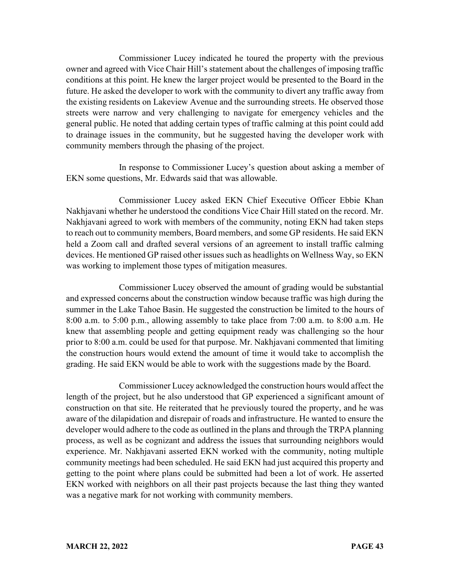Commissioner Lucey indicated he toured the property with the previous owner and agreed with Vice Chair Hill's statement about the challenges of imposing traffic conditions at this point. He knew the larger project would be presented to the Board in the future. He asked the developer to work with the community to divert any traffic away from the existing residents on Lakeview Avenue and the surrounding streets. He observed those streets were narrow and very challenging to navigate for emergency vehicles and the general public. He noted that adding certain types of traffic calming at this point could add to drainage issues in the community, but he suggested having the developer work with community members through the phasing of the project.

In response to Commissioner Lucey's question about asking a member of EKN some questions, Mr. Edwards said that was allowable.

Commissioner Lucey asked EKN Chief Executive Officer Ebbie Khan Nakhjavani whether he understood the conditions Vice Chair Hill stated on the record. Mr. Nakhjavani agreed to work with members of the community, noting EKN had taken steps to reach out to community members, Board members, and some GP residents. He said EKN held a Zoom call and drafted several versions of an agreement to install traffic calming devices. He mentioned GP raised other issues such as headlights on Wellness Way, so EKN was working to implement those types of mitigation measures.

Commissioner Lucey observed the amount of grading would be substantial and expressed concerns about the construction window because traffic was high during the summer in the Lake Tahoe Basin. He suggested the construction be limited to the hours of 8:00 a.m. to 5:00 p.m., allowing assembly to take place from 7:00 a.m. to 8:00 a.m. He knew that assembling people and getting equipment ready was challenging so the hour prior to 8:00 a.m. could be used for that purpose. Mr. Nakhjavani commented that limiting the construction hours would extend the amount of time it would take to accomplish the grading. He said EKN would be able to work with the suggestions made by the Board.

Commissioner Lucey acknowledged the construction hours would affect the length of the project, but he also understood that GP experienced a significant amount of construction on that site. He reiterated that he previously toured the property, and he was aware of the dilapidation and disrepair of roads and infrastructure. He wanted to ensure the developer would adhere to the code as outlined in the plans and through the TRPA planning process, as well as be cognizant and address the issues that surrounding neighbors would experience. Mr. Nakhjavani asserted EKN worked with the community, noting multiple community meetings had been scheduled. He said EKN had just acquired this property and getting to the point where plans could be submitted had been a lot of work. He asserted EKN worked with neighbors on all their past projects because the last thing they wanted was a negative mark for not working with community members.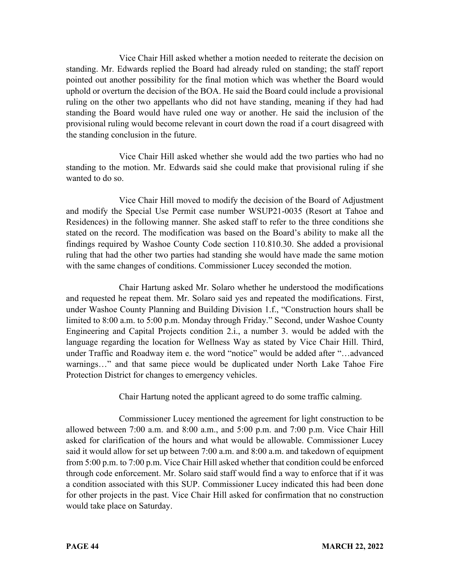Vice Chair Hill asked whether a motion needed to reiterate the decision on standing. Mr. Edwards replied the Board had already ruled on standing; the staff report pointed out another possibility for the final motion which was whether the Board would uphold or overturn the decision of the BOA. He said the Board could include a provisional ruling on the other two appellants who did not have standing, meaning if they had had standing the Board would have ruled one way or another. He said the inclusion of the provisional ruling would become relevant in court down the road if a court disagreed with the standing conclusion in the future.

Vice Chair Hill asked whether she would add the two parties who had no standing to the motion. Mr. Edwards said she could make that provisional ruling if she wanted to do so.

Vice Chair Hill moved to modify the decision of the Board of Adjustment and modify the Special Use Permit case number WSUP21-0035 (Resort at Tahoe and Residences) in the following manner. She asked staff to refer to the three conditions she stated on the record. The modification was based on the Board's ability to make all the findings required by Washoe County Code section 110.810.30. She added a provisional ruling that had the other two parties had standing she would have made the same motion with the same changes of conditions. Commissioner Lucey seconded the motion.

Chair Hartung asked Mr. Solaro whether he understood the modifications and requested he repeat them. Mr. Solaro said yes and repeated the modifications. First, under Washoe County Planning and Building Division 1.f., "Construction hours shall be limited to 8:00 a.m. to 5:00 p.m. Monday through Friday." Second, under Washoe County Engineering and Capital Projects condition 2.i., a number 3. would be added with the language regarding the location for Wellness Way as stated by Vice Chair Hill. Third, under Traffic and Roadway item e. the word "notice" would be added after "…advanced warnings…" and that same piece would be duplicated under North Lake Tahoe Fire Protection District for changes to emergency vehicles.

Chair Hartung noted the applicant agreed to do some traffic calming.

Commissioner Lucey mentioned the agreement for light construction to be allowed between 7:00 a.m. and 8:00 a.m., and 5:00 p.m. and 7:00 p.m. Vice Chair Hill asked for clarification of the hours and what would be allowable. Commissioner Lucey said it would allow for set up between 7:00 a.m. and 8:00 a.m. and takedown of equipment from 5:00 p.m. to 7:00 p.m. Vice Chair Hill asked whether that condition could be enforced through code enforcement. Mr. Solaro said staff would find a way to enforce that if it was a condition associated with this SUP. Commissioner Lucey indicated this had been done for other projects in the past. Vice Chair Hill asked for confirmation that no construction would take place on Saturday.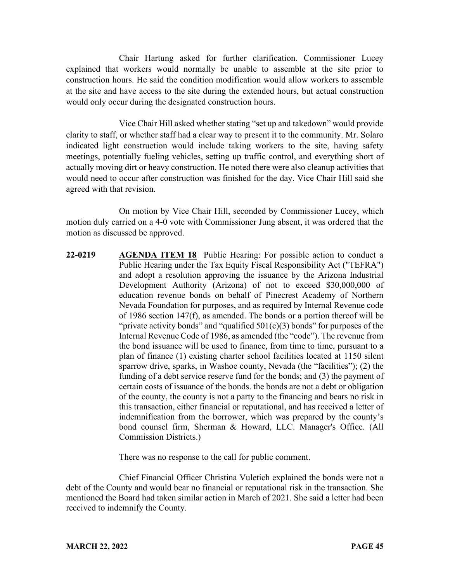Chair Hartung asked for further clarification. Commissioner Lucey explained that workers would normally be unable to assemble at the site prior to construction hours. He said the condition modification would allow workers to assemble at the site and have access to the site during the extended hours, but actual construction would only occur during the designated construction hours.

Vice Chair Hill asked whether stating "set up and takedown" would provide clarity to staff, or whether staff had a clear way to present it to the community. Mr. Solaro indicated light construction would include taking workers to the site, having safety meetings, potentially fueling vehicles, setting up traffic control, and everything short of actually moving dirt or heavy construction. He noted there were also cleanup activities that would need to occur after construction was finished for the day. Vice Chair Hill said she agreed with that revision.

On motion by Vice Chair Hill, seconded by Commissioner Lucey, which motion duly carried on a 4-0 vote with Commissioner Jung absent, it was ordered that the motion as discussed be approved.

**22-0219 AGENDA ITEM 18** Public Hearing: For possible action to conduct a Public Hearing under the Tax Equity Fiscal Responsibility Act ("TEFRA") and adopt a resolution approving the issuance by the Arizona Industrial Development Authority (Arizona) of not to exceed \$30,000,000 of education revenue bonds on behalf of Pinecrest Academy of Northern Nevada Foundation for purposes, and as required by Internal Revenue code of 1986 section 147(f), as amended. The bonds or a portion thereof will be "private activity bonds" and "qualified  $501(c)(3)$  bonds" for purposes of the Internal Revenue Code of 1986, as amended (the "code"). The revenue from the bond issuance will be used to finance, from time to time, pursuant to a plan of finance (1) existing charter school facilities located at 1150 silent sparrow drive, sparks, in Washoe county, Nevada (the "facilities"); (2) the funding of a debt service reserve fund for the bonds; and (3) the payment of certain costs of issuance of the bonds. the bonds are not a debt or obligation of the county, the county is not a party to the financing and bears no risk in this transaction, either financial or reputational, and has received a letter of indemnification from the borrower, which was prepared by the county's bond counsel firm, Sherman & Howard, LLC. Manager's Office. (All Commission Districts.)

There was no response to the call for public comment.

Chief Financial Officer Christina Vuletich explained the bonds were not a debt of the County and would bear no financial or reputational risk in the transaction. She mentioned the Board had taken similar action in March of 2021. She said a letter had been received to indemnify the County.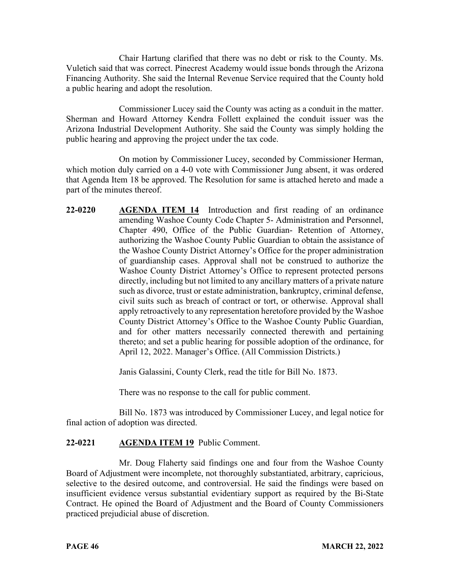Chair Hartung clarified that there was no debt or risk to the County. Ms. Vuletich said that was correct. Pinecrest Academy would issue bonds through the Arizona Financing Authority. She said the Internal Revenue Service required that the County hold a public hearing and adopt the resolution.

Commissioner Lucey said the County was acting as a conduit in the matter. Sherman and Howard Attorney Kendra Follett explained the conduit issuer was the Arizona Industrial Development Authority. She said the County was simply holding the public hearing and approving the project under the tax code.

On motion by Commissioner Lucey, seconded by Commissioner Herman, which motion duly carried on a 4-0 vote with Commissioner Jung absent, it was ordered that Agenda Item 18 be approved. The Resolution for same is attached hereto and made a part of the minutes thereof.

**22-0220 AGENDA ITEM 14** Introduction and first reading of an ordinance amending Washoe County Code Chapter 5- Administration and Personnel, Chapter 490, Office of the Public Guardian- Retention of Attorney, authorizing the Washoe County Public Guardian to obtain the assistance of the Washoe County District Attorney's Office for the proper administration of guardianship cases. Approval shall not be construed to authorize the Washoe County District Attorney's Office to represent protected persons directly, including but not limited to any ancillary matters of a private nature such as divorce, trust or estate administration, bankruptcy, criminal defense, civil suits such as breach of contract or tort, or otherwise. Approval shall apply retroactively to any representation heretofore provided by the Washoe County District Attorney's Office to the Washoe County Public Guardian, and for other matters necessarily connected therewith and pertaining thereto; and set a public hearing for possible adoption of the ordinance, for April 12, 2022. Manager's Office. (All Commission Districts.)

Janis Galassini, County Clerk, read the title for Bill No. 1873.

There was no response to the call for public comment.

Bill No. 1873 was introduced by Commissioner Lucey, and legal notice for final action of adoption was directed.

### **22-0221 AGENDA ITEM 19** Public Comment.

Mr. Doug Flaherty said findings one and four from the Washoe County Board of Adjustment were incomplete, not thoroughly substantiated, arbitrary, capricious, selective to the desired outcome, and controversial. He said the findings were based on insufficient evidence versus substantial evidentiary support as required by the Bi-State Contract. He opined the Board of Adjustment and the Board of County Commissioners practiced prejudicial abuse of discretion.